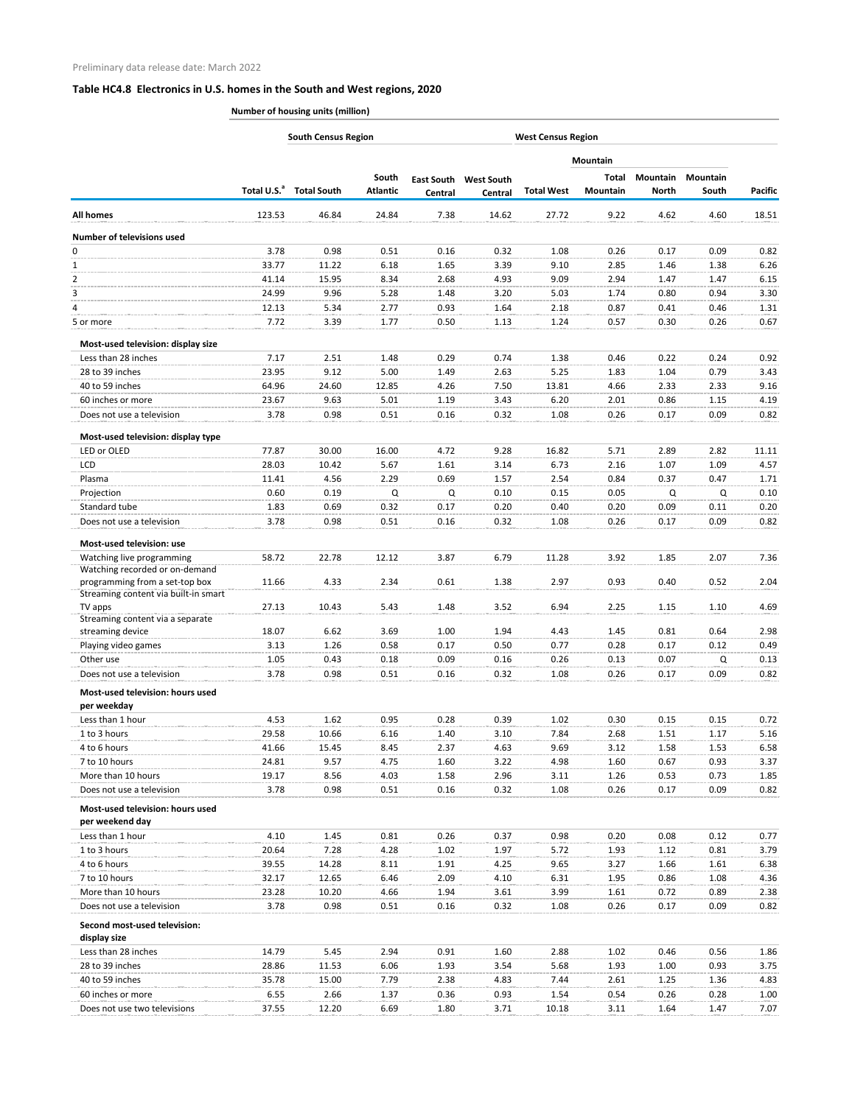|                                                                        | <b>South Census Region</b><br><b>West Census Region</b> |                    |                          |                              |                              |                   |                   |                          |                          |                |
|------------------------------------------------------------------------|---------------------------------------------------------|--------------------|--------------------------|------------------------------|------------------------------|-------------------|-------------------|--------------------------|--------------------------|----------------|
|                                                                        |                                                         |                    |                          |                              |                              |                   | <b>Mountain</b>   |                          |                          |                |
|                                                                        | Total U.S. <sup>a</sup>                                 | <b>Total South</b> | South<br><b>Atlantic</b> | <b>East South</b><br>Central | <b>West South</b><br>Central | <b>Total West</b> | Total<br>Mountain | Mountain<br><b>North</b> | <b>Mountain</b><br>South | <b>Pacific</b> |
| <b>All homes</b>                                                       | 123.53                                                  | 46.84              | 24.84                    | 7.38                         | 14.62                        | 27.72             | 9.22              | 4.62                     | 4.60                     | 18.51          |
| <b>Number of televisions used</b>                                      |                                                         |                    |                          |                              |                              |                   |                   |                          |                          |                |
| 0                                                                      | 3.78                                                    | 0.98               | 0.51                     | 0.16                         | 0.32                         | 1.08              | 0.26              | 0.17                     | 0.09                     | 0.82           |
| $\mathbf{1}$                                                           | 33.77                                                   | 11.22              | 6.18                     | 1.65                         | 3.39                         | 9.10              | 2.85              | 1.46                     | 1.38                     | 6.26           |
| 2                                                                      | 41.14                                                   | 15.95              | 8.34                     | 2.68                         | 4.93                         | 9.09              | 2.94              | 1.47                     | 1.47                     | 6.15           |
| 3                                                                      | 24.99                                                   | 9.96               | 5.28                     | 1.48                         | 3.20                         | 5.03              | 1.74              | 0.80                     | 0.94                     | 3.30           |
| 4                                                                      | 12.13                                                   | 5.34               | 2.77                     | 0.93                         | 1.64                         | 2.18              | 0.87              | 0.41                     | 0.46                     | 1.31           |
| 5 or more                                                              | 7.72                                                    | 3.39               | 1.77                     | 0.50                         | 1.13                         | 1.24              | 0.57              | 0.30                     | 0.26                     | 0.67           |
| Most-used television: display size                                     |                                                         |                    |                          |                              |                              |                   |                   |                          |                          |                |
| Less than 28 inches                                                    | 7.17                                                    | 2.51               | 1.48                     | 0.29                         | 0.74                         | 1.38              | 0.46              | 0.22                     | 0.24                     | 0.92           |
| 28 to 39 inches                                                        | 23.95                                                   | 9.12               | 5.00                     | 1.49                         | 2.63                         | 5.25              | 1.83              | 1.04                     | 0.79                     | 3.43           |
| 40 to 59 inches                                                        | 64.96                                                   | 24.60              | 12.85                    | 4.26                         | 7.50                         | 13.81             | 4.66              | 2.33                     | 2.33                     | 9.16           |
| 60 inches or more                                                      | 23.67                                                   | 9.63               | 5.01                     | 1.19                         | 3.43                         | 6.20              | 2.01              | 0.86                     | 1.15                     | 4.19           |
| Does not use a television                                              | 3.78                                                    | 0.98               | 0.51                     | 0.16                         | 0.32                         | 1.08              | 0.26              | 0.17                     | 0.09                     | 0.82           |
| Most-used television: display type                                     |                                                         |                    |                          |                              |                              |                   |                   |                          |                          |                |
| LED or OLED                                                            | 77.87                                                   | 30.00              | 16.00                    | 4.72                         | 9.28                         | 16.82             | 5.71              | 2.89                     | 2.82                     | 11.11          |
| LCD                                                                    | 28.03                                                   | 10.42              | 5.67                     | 1.61                         | 3.14                         | 6.73              | 2.16              | 1.07                     | 1.09                     | 4.57           |
| Plasma                                                                 | 11.41                                                   | 4.56               | 2.29                     | 0.69                         | 1.57                         | 2.54              | 0.84              | 0.37                     | 0.47                     | 1.71           |
| Projection                                                             | 0.60                                                    | 0.19               | Q                        | Q                            | 0.10                         | 0.15              | 0.05              | Q                        | Q                        | 0.10           |
| Standard tube                                                          | 1.83                                                    | 0.69               | 0.32                     | 0.17                         | 0.20                         | 0.40              | 0.20              | 0.09                     | 0.11                     | 0.20           |
| Does not use a television                                              | 3.78                                                    | 0.98               | 0.51                     | 0.16                         | 0.32                         | 1.08              | 0.26              | 0.17                     | 0.09                     | 0.82           |
| Most-used television: use                                              |                                                         |                    |                          |                              |                              |                   |                   |                          |                          |                |
| Watching live programming                                              | 58.72                                                   | 22.78              | 12.12                    | 3.87                         | 6.79                         | 11.28             | 3.92              | 1.85                     | 2.07                     | 7.36           |
| Watching recorded or on-demand                                         |                                                         |                    |                          |                              |                              |                   |                   |                          |                          |                |
| programming from a set-top box<br>Streaming content via built-in smart | 11.66                                                   | 4.33               | 2.34                     | 0.61                         | 1.38                         | 2.97              | 0.93              | 0.40                     | 0.52                     | 2.04           |
| TV apps                                                                | 27.13                                                   | 10.43              | 5.43                     | 1.48                         | 3.52                         | 6.94              | 2.25              | 1.15                     | 1.10                     | 4.69           |
| Streaming content via a separate                                       |                                                         |                    |                          |                              |                              |                   |                   |                          |                          |                |
| streaming device                                                       | 18.07                                                   | 6.62               | 3.69                     | 1.00                         | 1.94                         | 4.43              | 1.45              | 0.81                     | 0.64                     | 2.98           |
| Playing video games                                                    | 3.13                                                    | 1.26               | 0.58                     | 0.17                         | 0.50                         | 0.77              | 0.28              | 0.17                     | 0.12                     | 0.49           |
| Other use                                                              | 1.05                                                    | 0.43               | 0.18                     | 0.09                         | 0.16                         | 0.26              | 0.13              | 0.07                     | Q                        | 0.13           |
| Does not use a television                                              | 3.78                                                    | 0.98               | 0.51                     | 0.16                         | 0.32                         | 1.08              | 0.26              | 0.17                     | 0.09                     | 0.82           |
| Most-used television: hours used                                       |                                                         |                    |                          |                              |                              |                   |                   |                          |                          |                |
| per weekday<br>Less than 1 hour                                        | 4.53                                                    | 1.62               | 0.95                     | 0.28                         | 0.39                         | 1.02              | 0.30              | 0.15                     | 0.15                     | 0.72           |
| 1 to 3 hours                                                           | 29.58                                                   | 10.66              | 6.16                     | 1.40                         | 3.10                         | 7.84              | 2.68              | 1.51                     | 1.17                     | 5.16           |
| 4 to 6 hours                                                           | 41.66                                                   | 15.45              | 8.45                     | 2.37                         | 4.63                         | 9.69              | 3.12              | 1.58                     | 1.53                     | 6.58           |
| 7 to 10 hours                                                          | 24.81                                                   | 9.57               | 4.75                     | 1.60                         | 3.22                         | 4.98              | 1.60              | 0.67                     | 0.93                     | 3.37           |
| More than 10 hours                                                     | 19.17                                                   | 8.56               | 4.03                     | 1.58                         | 2.96                         | 3.11              | 1.26              | 0.53                     | 0.73                     | 1.85           |
| Does not use a television                                              | 3.78                                                    | 0.98               | 0.51                     | 0.16                         | 0.32                         | 1.08              | 0.26              | 0.17                     | 0.09                     | 0.82           |
| <b>Most-used television: hours used</b>                                |                                                         |                    |                          |                              |                              |                   |                   |                          |                          |                |
| per weekend day<br>Less than 1 hour                                    | 4.10                                                    | 1.45               | 0.81                     | 0.26                         | 0.37                         | 0.98              | 0.20              | 0.08                     | 0.12                     | 0.77           |
| 1 to 3 hours                                                           | 20.64                                                   | 7.28               | 4.28                     | 1.02                         | 1.97                         | 5.72              | 1.93              | 1.12                     | 0.81                     | 3.79           |
| 4 to 6 hours                                                           | 39.55                                                   | 14.28              | 8.11                     | 1.91                         | 4.25                         | 9.65              | 3.27              | 1.66                     | 1.61                     | 6.38           |
| 7 to 10 hours                                                          | 32.17                                                   | 12.65              | 6.46                     | 2.09                         | 4.10                         | 6.31              | 1.95              | 0.86                     | 1.08                     | 4.36           |
| More than 10 hours                                                     | 23.28                                                   | 10.20              | 4.66                     | 1.94                         | 3.61                         | 3.99              | 1.61              | 0.72                     | 0.89                     | 2.38           |
| Does not use a television                                              | 3.78                                                    | 0.98               | 0.51                     | 0.16                         | 0.32                         | 1.08              | 0.26              | 0.17                     | 0.09                     | 0.82           |
| <b>Second most-used television:</b>                                    |                                                         |                    |                          |                              |                              |                   |                   |                          |                          |                |
| display size                                                           |                                                         |                    |                          |                              |                              |                   |                   |                          |                          |                |
| Less than 28 inches                                                    | 14.79                                                   | 5.45               | 2.94                     | 0.91                         | 1.60                         | 2.88              | 1.02              | 0.46                     | 0.56                     | 1.86           |
| 28 to 39 inches                                                        | 28.86                                                   | 11.53              | 6.06                     | 1.93                         | 3.54                         | 5.68              | 1.93              | 1.00                     | 0.93                     | 3.75           |
| 40 to 59 inches                                                        | 35.78                                                   | 15.00              | 7.79                     | 2.38                         | 4.83                         | 7.44              | 2.61              | 1.25                     | 1.36                     | 4.83           |
| 60 inches or more                                                      | 6.55                                                    | 2.66               | 1.37                     | 0.36                         | 0.93                         | 1.54              | 0.54              | 0.26                     | 0.28                     | 1.00           |
| Does not use two televisions                                           | 37.55                                                   | 12.20              | 6.69                     | 1.80                         | 3.71                         | 10.18             | 3.11              | 1.64                     | 1.47                     | 7.07           |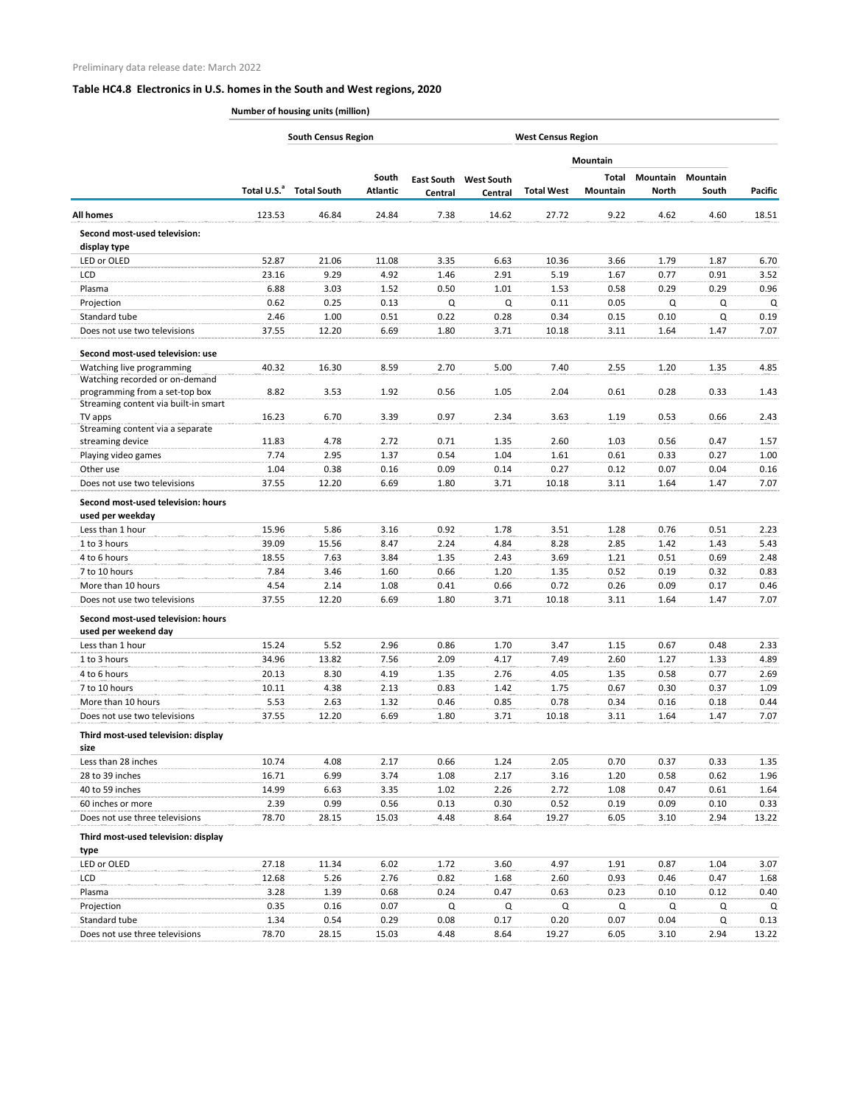|                                                                  |                         |                    | <b>South Census Region</b><br><b>West Census Region</b> |                   |                   |                   |                 |              |                 |                |  |
|------------------------------------------------------------------|-------------------------|--------------------|---------------------------------------------------------|-------------------|-------------------|-------------------|-----------------|--------------|-----------------|----------------|--|
|                                                                  |                         |                    |                                                         |                   |                   |                   | <b>Mountain</b> |              |                 |                |  |
|                                                                  |                         |                    | South                                                   | <b>East South</b> | <b>West South</b> |                   | Total           | Mountain     | <b>Mountain</b> |                |  |
|                                                                  | Total U.S. <sup>a</sup> | <b>Total South</b> | <b>Atlantic</b>                                         | Central           | Central           | <b>Total West</b> | <b>Mountain</b> | <b>North</b> | South           | <b>Pacific</b> |  |
| <b>All homes</b>                                                 | 123.53                  | 46.84              | 24.84                                                   | 7.38              | 14.62             | 27.72             | 9.22            | 4.62         | 4.60            | 18.51          |  |
| <b>Second most-used television:</b><br>display type              |                         |                    |                                                         |                   |                   |                   |                 |              |                 |                |  |
| LED or OLED                                                      | 52.87                   | 21.06              | 11.08                                                   | 3.35              | 6.63              | 10.36             | 3.66            | 1.79         | 1.87            | 6.70           |  |
| LCD                                                              | 23.16                   | 9.29               | 4.92                                                    | 1.46              | 2.91              | 5.19              | 1.67            | 0.77         | 0.91            | 3.52           |  |
| Plasma                                                           | 6.88                    | 3.03               | 1.52                                                    | 0.50              | 1.01              | 1.53              | 0.58            | 0.29         | 0.29            | 0.96           |  |
| Projection                                                       | 0.62                    | 0.25               | 0.13                                                    | Q                 | Q                 | 0.11              | 0.05            | Q            | Q               | Q              |  |
| Standard tube                                                    | 2.46                    | 1.00               | 0.51                                                    | 0.22              | 0.28              | 0.34              | 0.15            | 0.10         | Q               | 0.19           |  |
| Does not use two televisions                                     | 37.55                   | 12.20              | 6.69                                                    | 1.80              | 3.71              | 10.18             | 3.11            | 1.64         | 1.47            | 7.07           |  |
| Second most-used television: use                                 |                         |                    |                                                         |                   |                   |                   |                 |              |                 |                |  |
| Watching live programming                                        | 40.32                   | 16.30              | 8.59                                                    | 2.70              | 5.00              | 7.40              | 2.55            | 1.20         | 1.35            | 4.85           |  |
| Watching recorded or on-demand<br>programming from a set-top box | 8.82                    | 3.53               | 1.92                                                    | 0.56              | 1.05              | 2.04              | 0.61            | 0.28         | 0.33            | 1.43           |  |
| Streaming content via built-in smart                             |                         |                    |                                                         |                   |                   |                   |                 |              |                 |                |  |
| TV apps<br>Streaming content via a separate                      | 16.23                   | 6.70               | 3.39                                                    | 0.97              | 2.34              | 3.63              | 1.19            | 0.53         | 0.66            | 2.43           |  |
| streaming device                                                 | 11.83                   | 4.78               | 2.72                                                    | 0.71              | 1.35              | 2.60              | 1.03            | 0.56         | 0.47            | 1.57           |  |
| Playing video games                                              | 7.74                    | 2.95               | 1.37                                                    | 0.54              | 1.04              | 1.61              | 0.61            | 0.33         | 0.27            | 1.00           |  |
| Other use                                                        | 1.04                    | 0.38               | 0.16                                                    | 0.09              | 0.14              | 0.27              | 0.12            | 0.07         | 0.04            | 0.16           |  |
| Does not use two televisions                                     | 37.55                   | 12.20              | 6.69                                                    | 1.80              | 3.71              | 10.18             | 3.11            | 1.64         | 1.47            | 7.07           |  |
| Second most-used television: hours                               |                         |                    |                                                         |                   |                   |                   |                 |              |                 |                |  |
| used per weekday                                                 |                         |                    |                                                         |                   |                   |                   |                 |              |                 |                |  |
| Less than 1 hour                                                 | 15.96                   | 5.86               | 3.16                                                    | 0.92              | 1.78              | 3.51              | 1.28            | 0.76         | 0.51            | 2.23           |  |
| 1 to 3 hours                                                     | 39.09                   | 15.56              | 8.47                                                    | 2.24              | 4.84              | 8.28              | 2.85            | 1.42         | 1.43            | 5.43           |  |
| 4 to 6 hours                                                     | 18.55                   | 7.63               | 3.84                                                    | 1.35              | 2.43              | 3.69              | 1.21            | 0.51         | 0.69            | 2.48           |  |
| 7 to 10 hours                                                    | 7.84                    | 3.46               | 1.60                                                    | 0.66              | 1.20              | 1.35              | 0.52            | 0.19         | 0.32            | 0.83           |  |
| More than 10 hours                                               | 4.54                    | 2.14               | 1.08                                                    | 0.41              | 0.66              | 0.72              | 0.26            | 0.09         | 0.17            | 0.46           |  |
| Does not use two televisions                                     | 37.55                   | 12.20              | 6.69                                                    | 1.80              | 3.71              | 10.18             | 3.11            | 1.64         | 1.47            | 7.07           |  |
| Second most-used television: hours                               |                         |                    |                                                         |                   |                   |                   |                 |              |                 |                |  |
| used per weekend day                                             |                         |                    |                                                         |                   |                   |                   |                 |              |                 |                |  |
| Less than 1 hour                                                 | 15.24                   | 5.52               | 2.96                                                    | 0.86              | 1.70              | 3.47              | 1.15            | 0.67         | 0.48            | 2.33           |  |
| 1 to 3 hours                                                     | 34.96                   | 13.82              | 7.56                                                    | 2.09              | 4.17              | 7.49              | 2.60            | 1.27         | 1.33            | 4.89           |  |
| 4 to 6 hours                                                     | 20.13                   | 8.30               | 4.19                                                    | 1.35              | 2.76              | 4.05              | 1.35            | 0.58         | 0.77            | 2.69           |  |
| 7 to 10 hours                                                    | 10.11                   | 4.38               | 2.13                                                    | 0.83              | 1.42              | 1.75              | 0.67            | 0.30         | 0.37            | 1.09           |  |
| More than 10 hours                                               | 5.53                    | 2.63               | 1.32                                                    | 0.46              | 0.85              | 0.78              | 0.34            | 0.16         | 0.18            | 0.44           |  |
| Does not use two televisions                                     | 37.55                   | 12.20              | 6.69                                                    | 1.80              | 3.71              | 10.18             | 3.11            | 1.64         | 1.47            | 7.07           |  |
| Third most-used television: display                              |                         |                    |                                                         |                   |                   |                   |                 |              |                 |                |  |
| size                                                             |                         |                    |                                                         |                   |                   |                   |                 |              |                 |                |  |
| Less than 28 inches                                              | 10.74                   | 4.08               | 2.17                                                    | 0.66              | 1.24              | 2.05              | 0.70            | 0.37         | 0.33            | 1.35           |  |
| 28 to 39 inches                                                  | 16.71                   | 6.99               | 3.74                                                    | 1.08              | 2.17              | 3.16              | 1.20            | 0.58         | 0.62            | 1.96           |  |
| 40 to 59 inches                                                  | 14.99                   | 6.63               | 3.35                                                    | 1.02              | 2.26              | 2.72              | 1.08            | 0.47         | 0.61            | 1.64           |  |
| 60 inches or more                                                | 2.39                    | 0.99               | 0.56                                                    | 0.13              | 0.30              | 0.52              | 0.19            | 0.09         | 0.10            | 0.33           |  |
| Does not use three televisions                                   | 78.70                   | 28.15              | 15.03                                                   | 4.48              | 8.64              | 19.27             | 6.05            | 3.10         | 2.94            | 13.22          |  |
| Third most-used television: display<br>type                      |                         |                    |                                                         |                   |                   |                   |                 |              |                 |                |  |
| LED or OLED                                                      | 27.18                   | 11.34              | 6.02                                                    | 1.72              | 3.60              | 4.97              | 1.91            | 0.87         | 1.04            | 3.07           |  |
| LCD.                                                             | 12.68                   | 5.26               | 2.76                                                    | 0.82              | 1.68              | 2.60              | 0.93            | 0.46         | 0.47            | 1.68           |  |
| Plasma                                                           | 3.28                    | 1.39               | 0.68                                                    | 0.24              | 0.47              | 0.63              | 0.23            | 0.10         | 0.12            | 0.40           |  |
| Projection                                                       | 0.35                    | 0.16               | 0.07                                                    | Q                 | Q                 | Q                 | Q               | Q            | Q               | Q              |  |
| Standard tube                                                    | 1.34                    | 0.54               | 0.29                                                    | 0.08              | 0.17              | 0.20              | 0.07            | 0.04         | Q               | 0.13           |  |
| Does not use three televisions                                   | 78.70                   | 28.15              | 15.03                                                   | 4.48              | 8.64              | 19.27             | 6.05            | 3.10         | 2.94            | 13.22          |  |
|                                                                  |                         |                    |                                                         |                   |                   |                   |                 |              |                 |                |  |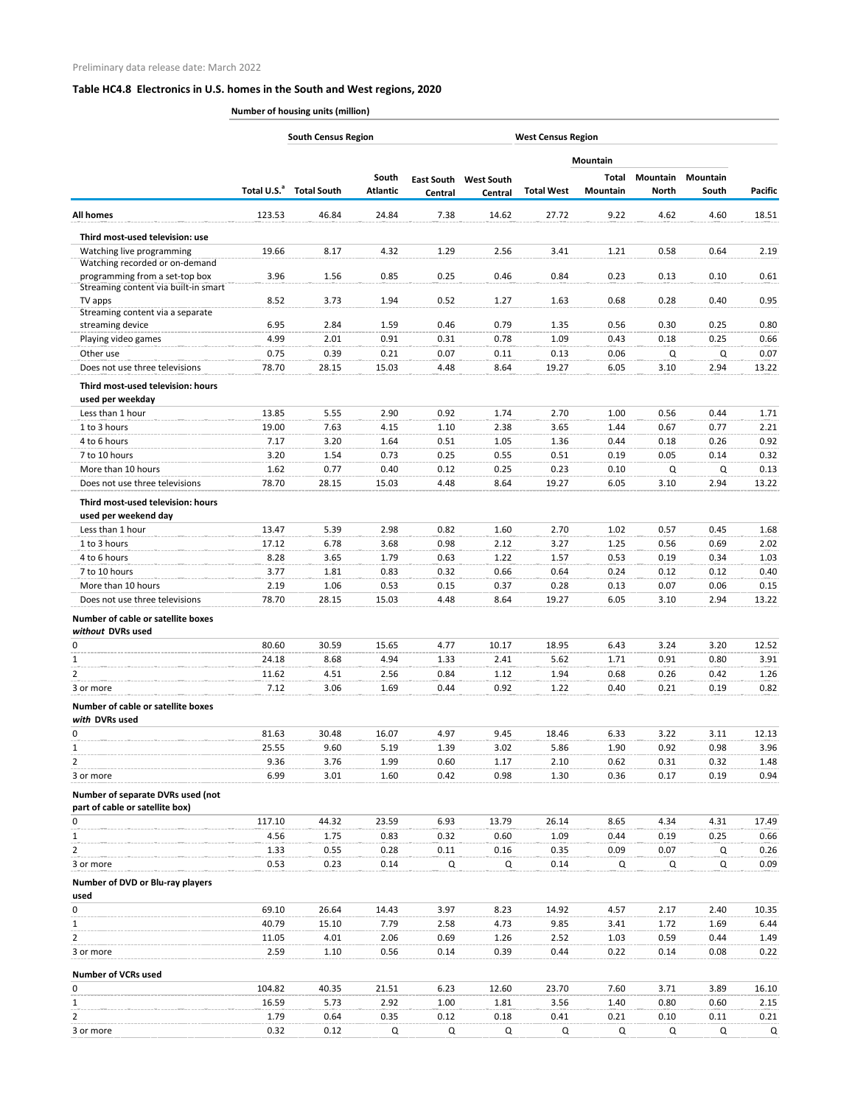|                                                                        | <b>South Census Region</b><br><b>West Census Region</b> |                    |                          |              |                                         |                   |                          |                          |                          |                |
|------------------------------------------------------------------------|---------------------------------------------------------|--------------------|--------------------------|--------------|-----------------------------------------|-------------------|--------------------------|--------------------------|--------------------------|----------------|
|                                                                        |                                                         |                    |                          |              |                                         |                   | <b>Mountain</b>          |                          |                          |                |
|                                                                        | Total U.S. <sup>a</sup>                                 | <b>Total South</b> | South<br><b>Atlantic</b> | Central      | <b>East South West South</b><br>Central | <b>Total West</b> | Total<br><b>Mountain</b> | Mountain<br><b>North</b> | <b>Mountain</b><br>South | <b>Pacific</b> |
| <b>All homes</b>                                                       | 123.53                                                  | 46.84              | 24.84                    | 7.38         | 14.62                                   | 27.72             | 9.22                     | 4.62                     | 4.60                     | 18.51          |
| Third most-used television: use                                        |                                                         |                    |                          |              |                                         |                   |                          |                          |                          |                |
| Watching live programming                                              | 19.66                                                   | 8.17               | 4.32                     | 1.29         | 2.56                                    | 3.41              | 1.21                     | 0.58                     | 0.64                     | 2.19           |
| Watching recorded or on-demand                                         |                                                         |                    |                          |              |                                         |                   |                          |                          |                          |                |
| programming from a set-top box<br>Streaming content via built-in smart | 3.96                                                    | 1.56               | 0.85                     | 0.25         | 0.46                                    | 0.84              | 0.23                     | 0.13                     | 0.10                     | 0.61           |
| TV apps                                                                | 8.52                                                    | 3.73               | 1.94                     | 0.52         | 1.27                                    | 1.63              | 0.68                     | 0.28                     | 0.40                     | 0.95           |
| Streaming content via a separate                                       |                                                         |                    |                          |              |                                         |                   |                          |                          |                          |                |
| streaming device                                                       | 6.95                                                    | 2.84               | 1.59                     | 0.46         | 0.79                                    | 1.35              | 0.56                     | 0.30                     | 0.25                     | 0.80           |
| Playing video games<br>Other use                                       | 4.99<br>0.75                                            | 2.01<br>0.39       | 0.91<br>0.21             | 0.31<br>0.07 | 0.78<br>0.11                            | 1.09<br>0.13      | 0.43<br>0.06             | 0.18<br>Q                | 0.25<br>Q                | 0.66<br>0.07   |
| Does not use three televisions                                         | 78.70                                                   | 28.15              | 15.03                    | 4.48         | 8.64                                    | 19.27             | 6.05                     | 3.10                     | 2.94                     | 13.22          |
|                                                                        |                                                         |                    |                          |              |                                         |                   |                          |                          |                          |                |
| Third most-used television: hours<br>used per weekday                  |                                                         |                    |                          |              |                                         |                   |                          |                          |                          |                |
| Less than 1 hour                                                       | 13.85                                                   | 5.55               | 2.90                     | 0.92         | 1.74                                    | 2.70              | 1.00                     | 0.56                     | 0.44                     | 1.71           |
| 1 to 3 hours                                                           | 19.00                                                   | 7.63               | 4.15                     | 1.10         | 2.38                                    | 3.65              | 1.44                     | 0.67                     | 0.77                     | 2.21           |
| 4 to 6 hours                                                           | 7.17                                                    | 3.20               | 1.64                     | 0.51         | 1.05                                    | 1.36              | 0.44                     | 0.18                     | 0.26                     | 0.92           |
| 7 to 10 hours                                                          | 3.20                                                    | 1.54               | 0.73                     | 0.25         | 0.55                                    | 0.51              | 0.19                     | 0.05                     | 0.14                     | 0.32           |
| More than 10 hours                                                     | 1.62                                                    | 0.77               | 0.40                     | 0.12         | 0.25                                    | 0.23              | 0.10                     | Q                        | Q                        | 0.13           |
| Does not use three televisions                                         | 78.70                                                   | 28.15              | 15.03                    | 4.48         | 8.64                                    | 19.27             | 6.05                     | 3.10                     | 2.94                     | 13.22          |
| Third most-used television: hours                                      |                                                         |                    |                          |              |                                         |                   |                          |                          |                          |                |
| used per weekend day                                                   |                                                         |                    |                          |              |                                         |                   |                          |                          |                          |                |
| Less than 1 hour                                                       | 13.47                                                   | 5.39               | 2.98                     | 0.82         | 1.60                                    | 2.70              | 1.02                     | 0.57                     | 0.45                     | 1.68           |
| 1 to 3 hours                                                           | 17.12                                                   | 6.78               | 3.68                     | 0.98         | 2.12                                    | 3.27              | 1.25                     | 0.56                     | 0.69                     | 2.02           |
| 4 to 6 hours                                                           | 8.28                                                    | 3.65               | 1.79                     | 0.63         | 1.22                                    | 1.57              | 0.53                     | 0.19                     | 0.34                     | 1.03           |
| 7 to 10 hours                                                          | 3.77                                                    | 1.81               | 0.83                     | 0.32         | 0.66                                    | 0.64              | 0.24                     | 0.12                     | 0.12                     | 0.40           |
| More than 10 hours                                                     | 2.19                                                    | 1.06               | 0.53                     | 0.15         | 0.37                                    | 0.28              | 0.13                     | 0.07                     | 0.06                     | 0.15           |
| Does not use three televisions                                         | 78.70                                                   | 28.15              | 15.03                    | 4.48         | 8.64                                    | 19.27             | 6.05                     | 3.10                     | 2.94                     | 13.22          |
| Number of cable or satellite boxes<br>without DVRs used                |                                                         |                    |                          |              |                                         |                   |                          |                          |                          |                |
| 0                                                                      | 80.60                                                   | 30.59              | 15.65                    | 4.77         | 10.17                                   | 18.95             | 6.43                     | 3.24                     | 3.20                     | 12.52          |
| 1                                                                      | 24.18                                                   | 8.68               | 4.94                     | 1.33         | 2.41                                    | 5.62              | 1.71                     | 0.91                     | 0.80                     | 3.91           |
| 2                                                                      | 11.62                                                   | 4.51               | 2.56                     | 0.84         | 1.12                                    | 1.94              | 0.68                     | 0.26                     | 0.42                     | 1.26           |
| 3 or more                                                              | 7.12                                                    | 3.06               | 1.69                     | 0.44         | 0.92                                    | 1.22              | 0.40                     | 0.21                     | 0.19                     | 0.82           |
| Number of cable or satellite boxes<br>with DVRs used                   |                                                         |                    |                          |              |                                         |                   |                          |                          |                          |                |
| 0                                                                      | 81.63                                                   | 30.48              | 16.07                    | 4.97         | 9.45                                    | 18.46             | 6.33                     | 3.22                     | 3.11                     | 12.13          |
| 1                                                                      | 25.55                                                   | 9.60               | 5.19                     | 1.39         | 3.02                                    | 5.86              | 1.90                     | 0.92                     | 0.98                     | 3.96           |
| 2                                                                      | 9.36                                                    | 3.76               | 1.99                     | 0.60         | 1.17                                    | 2.10              | 0.62                     | 0.31                     | 0.32                     | 1.48           |
| 3 or more                                                              | 6.99                                                    | 3.01               | 1.60                     | 0.42         | 0.98                                    | 1.30              | 0.36                     | 0.17                     | 0.19                     | 0.94           |
| Number of separate DVRs used (not<br>part of cable or satellite box)   |                                                         |                    |                          |              |                                         |                   |                          |                          |                          |                |
| 0                                                                      | 117.10                                                  | 44.32              | 23.59                    | 6.93         | 13.79                                   | 26.14             | 8.65                     | 4.34                     | 4.31                     | 17.49          |
| 1                                                                      | 4.56                                                    | 1.75               | 0.83                     | 0.32         | 0.60                                    | 1.09              | 0.44                     | 0.19                     | 0.25                     | 0.66           |
| 2                                                                      | 1.33                                                    | 0.55               | 0.28                     | 0.11         | 0.16                                    | 0.35              | 0.09                     | 0.07                     | Q                        | 0.26           |
| 3 or more                                                              | 0.53                                                    | 0.23               | 0.14                     | Q            | Q                                       | 0.14              | Q                        | Q                        | Q                        | 0.09           |
| Number of DVD or Blu-ray players<br>used                               |                                                         |                    |                          |              |                                         |                   |                          |                          |                          |                |
| 0                                                                      | 69.10                                                   | 26.64              | 14.43                    | 3.97         | 8.23                                    | 14.92             | 4.57                     | 2.17                     | 2.40                     | 10.35          |
| $\mathbf{1}$                                                           | 40.79                                                   | 15.10              | 7.79                     | 2.58         | 4.73                                    | 9.85              | 3.41                     | 1.72                     | 1.69                     | 6.44           |
| 2                                                                      | 11.05                                                   | 4.01               | 2.06                     | 0.69         | 1.26                                    | 2.52              | 1.03                     | 0.59                     | 0.44                     | 1.49           |
| 3 or more                                                              | 2.59                                                    | 1.10               | 0.56                     | 0.14         | 0.39                                    | 0.44              | 0.22                     | 0.14                     | 0.08                     | 0.22           |
| <b>Number of VCRs used</b>                                             |                                                         |                    |                          |              |                                         |                   |                          |                          |                          |                |
| 0                                                                      | 104.82                                                  | 40.35              | 21.51                    | 6.23         | 12.60                                   | 23.70             | 7.60                     | 3.71                     | 3.89                     | 16.10          |
| 1                                                                      | 16.59                                                   | 5.73               | 2.92                     | 1.00         | 1.81                                    | 3.56              | 1.40                     | 0.80                     | 0.60                     | 2.15           |
|                                                                        | 1.79                                                    | 0.64               | 0.35                     | 0.12         | 0.18                                    | 0.41              | 0.21                     | 0.10                     | 0.11                     | 0.21           |
| 3 or more                                                              | 0.32                                                    | 0.12               | Q                        | Q            | $\alpha$                                | Q                 | Q                        | Q                        | Q                        | $\mathsf Q$    |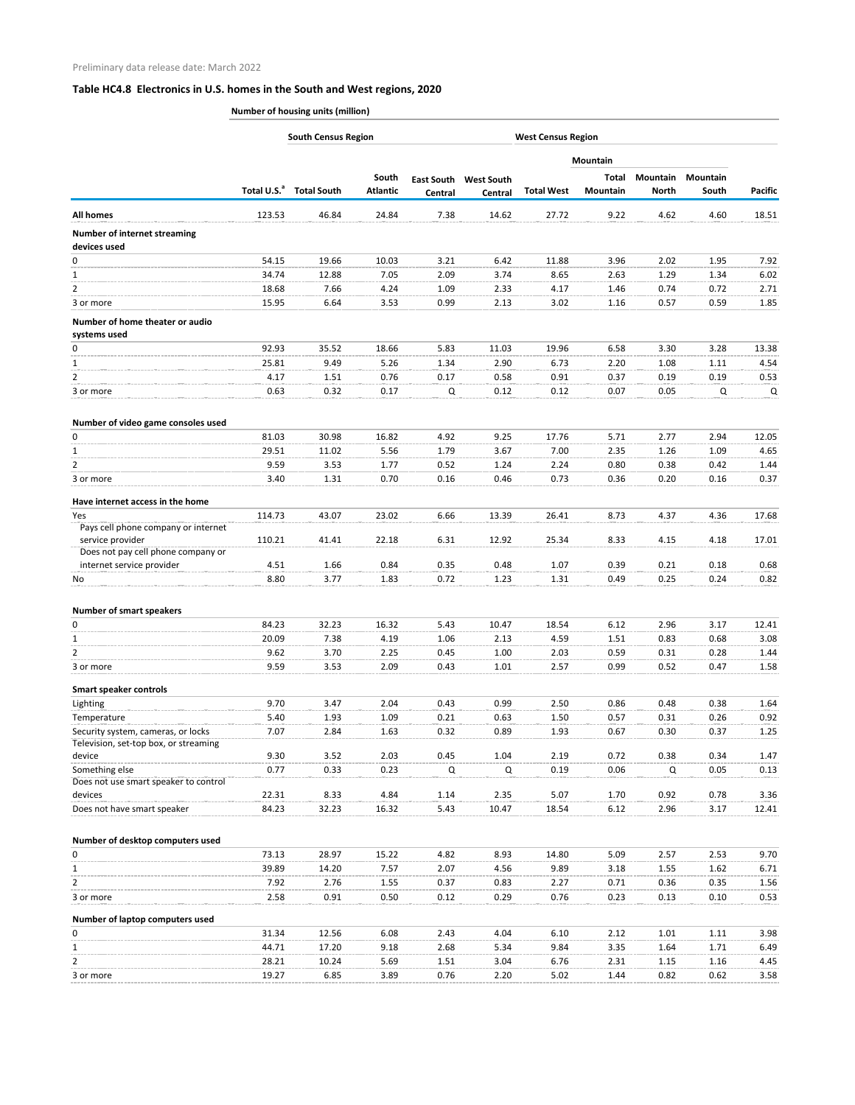|                                                        | <b>South Census Region</b><br><b>West Census Region</b> |                                     |                 |         |                              |                   |                 |                 |                 |                |
|--------------------------------------------------------|---------------------------------------------------------|-------------------------------------|-----------------|---------|------------------------------|-------------------|-----------------|-----------------|-----------------|----------------|
|                                                        |                                                         |                                     |                 |         |                              |                   | <b>Mountain</b> |                 |                 |                |
|                                                        |                                                         |                                     | South           |         | <b>East South West South</b> |                   | Total           | <b>Mountain</b> | <b>Mountain</b> |                |
|                                                        |                                                         | Total U.S. <sup>a</sup> Total South | <b>Atlantic</b> | Central | Central                      | <b>Total West</b> | Mountain        | <b>North</b>    | South           | <b>Pacific</b> |
| <b>All homes</b>                                       | 123.53                                                  | 46.84                               | 24.84           | 7.38    | 14.62                        | 27.72             | 9.22            | 4.62            | 4.60            | 18.51          |
| <b>Number of internet streaming</b>                    |                                                         |                                     |                 |         |                              |                   |                 |                 |                 |                |
| devices used                                           |                                                         |                                     |                 |         |                              |                   |                 |                 |                 |                |
| 0                                                      | 54.15                                                   | 19.66                               | 10.03           | 3.21    | 6.42                         | 11.88             | 3.96            | 2.02            | 1.95            | 7.92           |
| 1                                                      | 34.74                                                   | 12.88                               | 7.05            | 2.09    | 3.74                         | 8.65              | 2.63            | 1.29            | 1.34            | 6.02           |
| 2                                                      | 18.68                                                   | 7.66                                | 4.24            | 1.09    | 2.33                         | 4.17              | 1.46            | 0.74            | 0.72            | 2.71           |
| 3 or more                                              | 15.95                                                   | 6.64                                | 3.53            | 0.99    | 2.13                         | 3.02              | 1.16            | 0.57            | 0.59            | 1.85           |
| Number of home theater or audio                        |                                                         |                                     |                 |         |                              |                   |                 |                 |                 |                |
| systems used                                           |                                                         |                                     |                 |         |                              |                   |                 |                 |                 |                |
| 0                                                      | 92.93                                                   | 35.52                               | 18.66           | 5.83    | 11.03                        | 19.96             | 6.58            | 3.30            | 3.28            | 13.38          |
| 1                                                      | 25.81                                                   | 9.49                                | 5.26            | 1.34    | 2.90                         | 6.73              | 2.20            | 1.08            | 1.11            | 4.54           |
| $\overline{2}$                                         | 4.17                                                    | 1.51                                | 0.76            | 0.17    | 0.58                         | 0.91              | 0.37            | 0.19            | 0.19            | 0.53           |
| 3 or more                                              | 0.63                                                    | 0.32                                | 0.17            | Q       | 0.12                         | 0.12              | 0.07            | 0.05            | Q               | Q              |
| Number of video game consoles used                     |                                                         |                                     |                 |         |                              |                   |                 |                 |                 |                |
| 0                                                      | 81.03                                                   | 30.98                               | 16.82           | 4.92    | 9.25                         | 17.76             | 5.71            | 2.77            | 2.94            | 12.05          |
| 1                                                      | 29.51                                                   | 11.02                               | 5.56            | 1.79    | 3.67                         | 7.00              | 2.35            | 1.26            | 1.09            | 4.65           |
| $\overline{2}$                                         | 9.59                                                    | 3.53                                | 1.77            | 0.52    | 1.24                         | 2.24              | 0.80            | 0.38            | 0.42            | 1.44           |
| 3 or more                                              | 3.40                                                    | 1.31                                | 0.70            | 0.16    | 0.46                         | 0.73              | 0.36            | 0.20            | 0.16            | 0.37           |
| Have internet access in the home                       |                                                         |                                     |                 |         |                              |                   |                 |                 |                 |                |
| Yes                                                    | 114.73                                                  | 43.07                               | 23.02           | 6.66    | 13.39                        | 26.41             | 8.73            | 4.37            | 4.36            | 17.68          |
| Pays cell phone company or internet                    |                                                         |                                     |                 |         |                              |                   |                 |                 |                 |                |
| service provider<br>Does not pay cell phone company or | 110.21                                                  | 41.41                               | 22.18           | 6.31    | 12.92                        | 25.34             | 8.33            | 4.15            | 4.18            | 17.01          |
| internet service provider                              | 4.51                                                    | 1.66                                | 0.84            | 0.35    | 0.48                         | 1.07              | 0.39            | 0.21            | 0.18            | 0.68           |
| No                                                     | 8.80                                                    | 3.77                                | 1.83            | 0.72    | 1.23                         | 1.31              | 0.49            | 0.25            | 0.24            | 0.82           |
|                                                        |                                                         |                                     |                 |         |                              |                   |                 |                 |                 |                |
| <b>Number of smart speakers</b><br>0                   | 84.23                                                   | 32.23                               | 16.32           | 5.43    | 10.47                        | 18.54             | 6.12            | 2.96            | 3.17            | 12.41          |
| 1                                                      |                                                         |                                     |                 |         |                              |                   |                 |                 |                 |                |
|                                                        | 20.09                                                   | 7.38                                | 4.19            | 1.06    | 2.13                         | 4.59              | 1.51            | 0.83            | 0.68            | 3.08           |
| 2                                                      | 9.62<br>9.59                                            | 3.70                                | 2.25            | 0.45    | 1.00                         | 2.03              | 0.59            | 0.31            | 0.28            | 1.44           |
| 3 or more                                              |                                                         | 3.53                                | 2.09            | 0.43    | 1.01                         | 2.57              | 0.99            | 0.52            | 0.47            | 1.58           |
| <b>Smart speaker controls</b>                          |                                                         |                                     |                 |         |                              |                   |                 |                 |                 |                |
| Lighting                                               | 9.70                                                    | 3.47                                | 2.04            | 0.43    | 0.99                         | 2.50              | 0.86            | 0.48            | 0.38            | 1.64           |
| Temperature                                            | 5.40                                                    | 1.93                                | 1.09            | 0.21    | 0.63                         | 1.50              | 0.57            | 0.31            | 0.26            | 0.92           |
| Security system, cameras, or locks                     | 7.07                                                    | 2.84                                | 1.63            | 0.32    | 0.89                         | 1.93              | 0.67            | 0.30            | 0.37            | 1.25           |
| Television, set-top box, or streaming<br>device        | 9.30                                                    | 3.52                                | 2.03            | 0.45    | 1.04                         | 2.19              | 0.72            | 0.38            | 0.34            | 1.47           |
| Something else                                         | 0.77                                                    | 0.33                                | 0.23            | Q       | Q                            | 0.19              | 0.06            | Q               | 0.05            | 0.13           |
| Does not use smart speaker to control                  |                                                         |                                     |                 |         |                              |                   |                 |                 |                 |                |
| devices                                                | 22.31                                                   | 8.33                                | 4.84            | 1.14    | 2.35                         | 5.07              | 1.70            | 0.92            | 0.78            | 3.36           |
| Does not have smart speaker                            | 84.23                                                   | 32.23                               | 16.32           | 5.43    | 10.47                        | 18.54             | 6.12            | 2.96            | 3.17            | 12.41          |
|                                                        |                                                         |                                     |                 |         |                              |                   |                 |                 |                 |                |
| Number of desktop computers used                       |                                                         |                                     |                 |         |                              |                   |                 |                 |                 |                |
| 0                                                      | 73.13                                                   | 28.97                               | 15.22           | 4.82    | 8.93                         | 14.80             | 5.09            | 2.57            | 2.53            | 9.70           |
| 1                                                      | 39.89                                                   | 14.20                               | 7.57            | 2.07    | 4.56                         | 9.89              | 3.18            | 1.55            | 1.62            | 6.71           |
| 2                                                      | 7.92                                                    | 2.76                                | 1.55            | 0.37    | 0.83                         | 2.27              | 0.71            | 0.36            | 0.35            | 1.56           |
| 3 or more                                              | 2.58                                                    | 0.91                                | 0.50            | 0.12    | 0.29                         | 0.76              | 0.23            | 0.13            | 0.10            | 0.53           |
| Number of laptop computers used                        |                                                         |                                     |                 |         |                              |                   |                 |                 |                 |                |
| 0                                                      | 31.34                                                   | 12.56                               | 6.08            | 2.43    | 4.04                         | 6.10              | 2.12            | 1.01            | 1.11            | 3.98           |
| 1                                                      | 44.71                                                   | 17.20                               | 9.18            | 2.68    | 5.34                         | 9.84              | 3.35            | 1.64            | 1.71            | 6.49           |
| 2                                                      | 28.21                                                   | 10.24                               | 5.69            | 1.51    | 3.04                         | 6.76              | 2.31            | 1.15            | 1.16            | 4.45           |
| 3 or more                                              | 19.27                                                   | 6.85                                | 3.89            | 0.76    | 2.20                         | 5.02              | 1.44            | 0.82            | 0.62            | 3.58           |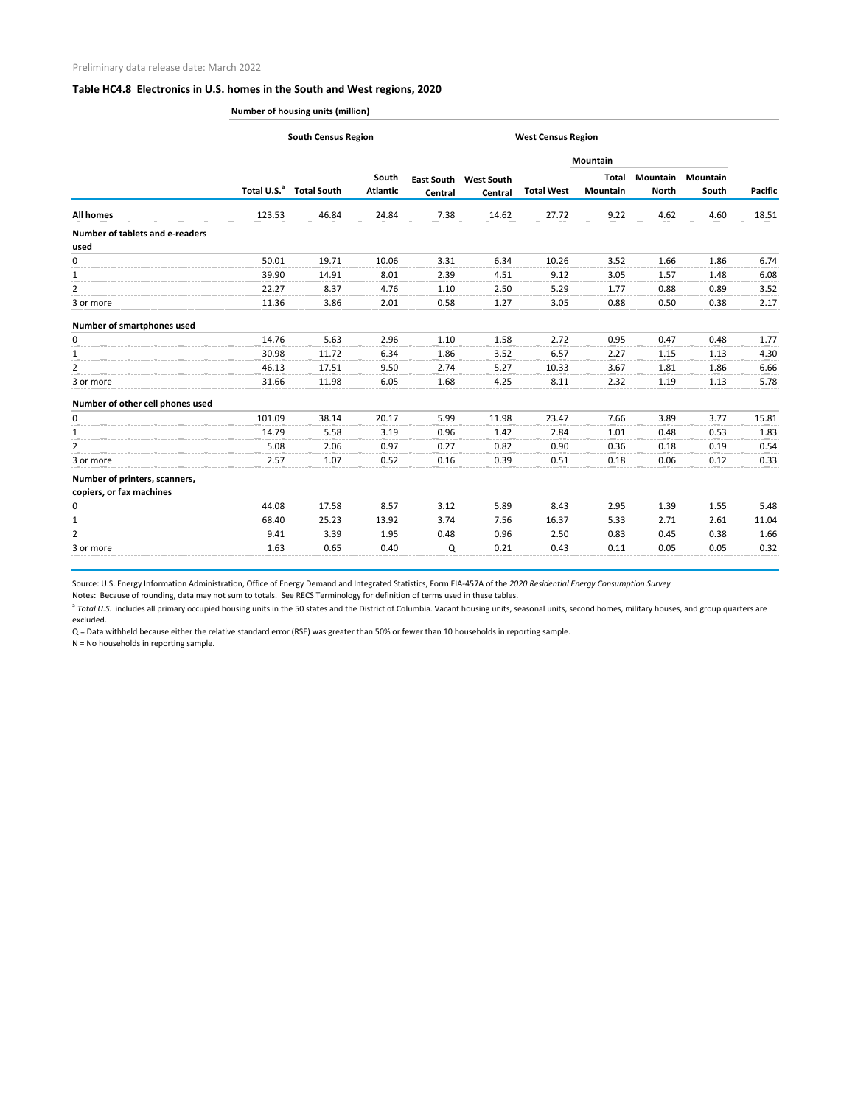**Number of housing units (million)**

|                                                           |                         | <b>South Census Region</b> |                          |         |                                         | <b>West Census Region</b> |                          |                          |                          |                |  |
|-----------------------------------------------------------|-------------------------|----------------------------|--------------------------|---------|-----------------------------------------|---------------------------|--------------------------|--------------------------|--------------------------|----------------|--|
|                                                           |                         |                            |                          |         |                                         |                           | Mountain                 |                          |                          |                |  |
|                                                           | Total U.S. <sup>a</sup> | <b>Total South</b>         | South<br><b>Atlantic</b> | Central | <b>East South West South</b><br>Central | <b>Total West</b>         | <b>Total</b><br>Mountain | Mountain<br><b>North</b> | <b>Mountain</b><br>South | <b>Pacific</b> |  |
| <b>All homes</b>                                          | 123.53                  | 46.84                      | 24.84                    | 7.38    | 14.62                                   | 27.72                     | 9.22                     | 4.62                     | 4.60                     | 18.51          |  |
| <b>Number of tablets and e-readers</b><br>used            |                         |                            |                          |         |                                         |                           |                          |                          |                          |                |  |
| 0                                                         | 50.01                   | 19.71                      | 10.06                    | 3.31    | 6.34                                    | 10.26                     | 3.52                     | 1.66                     | 1.86                     | 6.74           |  |
| $\mathbf{1}$                                              | 39.90                   | 14.91                      | 8.01                     | 2.39    | 4.51                                    | 9.12                      | 3.05                     | 1.57                     | 1.48                     | 6.08           |  |
| $\overline{2}$                                            | 22.27                   | 8.37                       | 4.76                     | 1.10    | 2.50                                    | 5.29                      | 1.77                     | 0.88                     | 0.89                     | 3.52           |  |
| 3 or more                                                 | 11.36                   | 3.86                       | 2.01                     | 0.58    | 1.27                                    | 3.05                      | 0.88                     | 0.50                     | 0.38                     | 2.17           |  |
| Number of smartphones used                                |                         |                            |                          |         |                                         |                           |                          |                          |                          |                |  |
| 0                                                         | 14.76                   | 5.63                       | 2.96                     | 1.10    | 1.58                                    | 2.72                      | 0.95                     | 0.47                     | 0.48                     | 1.77           |  |
| $\mathbf{1}$                                              | 30.98                   | 11.72                      | 6.34                     | 1.86    | 3.52                                    | 6.57                      | 2.27                     | 1.15                     | 1.13                     | 4.30           |  |
| $\overline{2}$                                            | 46.13                   | 17.51                      | 9.50                     | 2.74    | 5.27                                    | 10.33                     | 3.67                     | 1.81                     | 1.86                     | 6.66           |  |
| 3 or more                                                 | 31.66                   | 11.98                      | 6.05                     | 1.68    | 4.25                                    | 8.11                      | 2.32                     | 1.19                     | 1.13                     | 5.78           |  |
| Number of other cell phones used                          |                         |                            |                          |         |                                         |                           |                          |                          |                          |                |  |
| 0                                                         | 101.09                  | 38.14                      | 20.17                    | 5.99    | 11.98                                   | 23.47                     | 7.66                     | 3.89                     | 3.77                     | 15.81          |  |
| $\mathbf{1}$                                              | 14.79                   | 5.58                       | 3.19                     | 0.96    | 1.42                                    | 2.84                      | 1.01                     | 0.48                     | 0.53                     | 1.83           |  |
| $\overline{2}$                                            | 5.08                    | 2.06                       | 0.97                     | 0.27    | 0.82                                    | 0.90                      | 0.36                     | 0.18                     | 0.19                     | 0.54           |  |
| 3 or more                                                 | 2.57                    | 1.07                       | 0.52                     | 0.16    | 0.39                                    | 0.51                      | 0.18                     | 0.06                     | 0.12                     | 0.33           |  |
| Number of printers, scanners,<br>copiers, or fax machines |                         |                            |                          |         |                                         |                           |                          |                          |                          |                |  |
| 0                                                         | 44.08                   | 17.58                      | 8.57                     | 3.12    | 5.89                                    | 8.43                      | 2.95                     | 1.39                     | 1.55                     | 5.48           |  |
| $\mathbf{1}$                                              | 68.40                   | 25.23                      | 13.92                    | 3.74    | 7.56                                    | 16.37                     | 5.33                     | 2.71                     | 2.61                     | 11.04          |  |
| 2                                                         | 9.41                    | 3.39                       | 1.95                     | 0.48    | 0.96                                    | 2.50                      | 0.83                     | 0.45                     | 0.38                     | 1.66           |  |
| 3 or more                                                 | 1.63                    | 0.65                       | 0.40                     | Q       | 0.21                                    | 0.43                      | 0.11                     | 0.05                     | 0.05                     | 0.32           |  |

Source: U.S. Energy Information Administration, Office of Energy Demand and Integrated Statistics, Form EIA-457A of the *2020 Residential Energy Consumption Survey*

Notes: Because of rounding, data may not sum to totals. See RECS Terminology for definition of terms used in these tables.

<sup>a</sup> Total U.S. includes all primary occupied housing units in the 50 states and the District of Columbia. Vacant housing units, seasonal units, second homes, military houses, and group quarters are excluded.

Q = Data withheld because either the relative standard error (RSE) was greater than 50% or fewer than 10 households in reporting sample.

N = No households in reporting sample.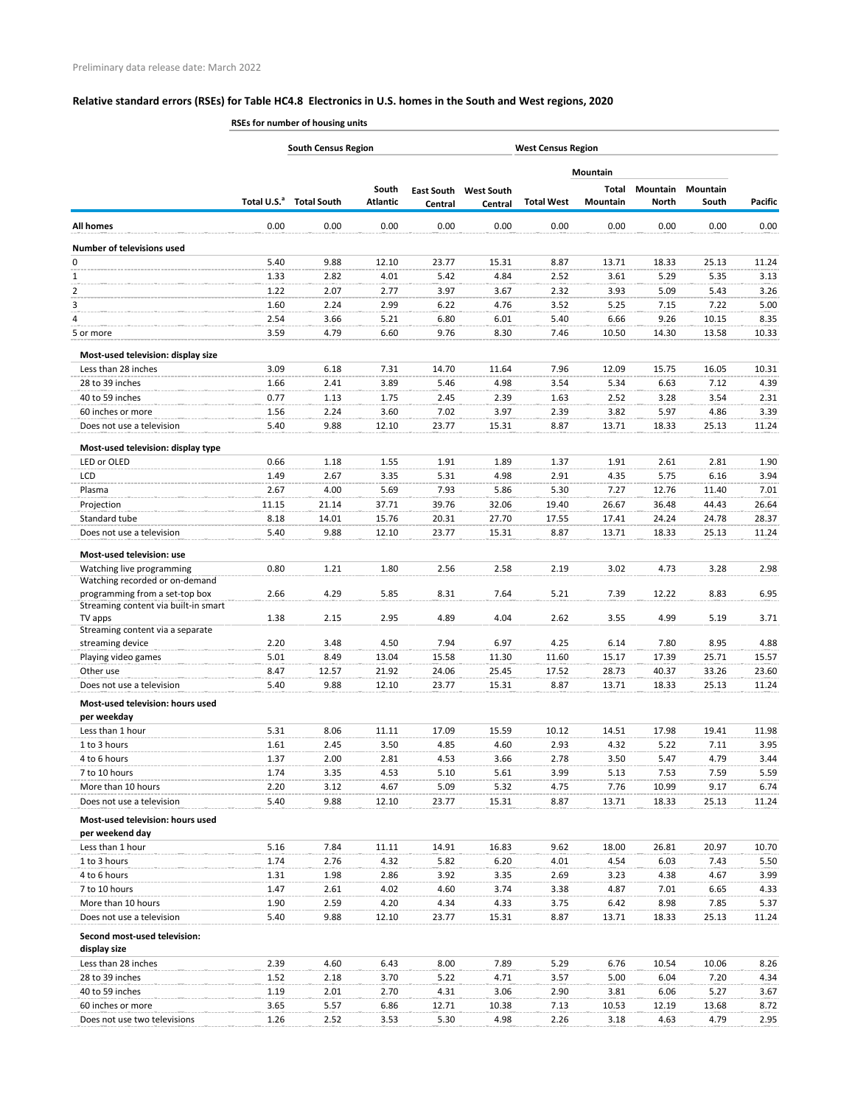**RSEs for number of housing units**

|                                                             |              | <b>South Census Region</b>          |                          | <b>West Census Region</b> |                                         |                   |                          |                          |                   |              |  |
|-------------------------------------------------------------|--------------|-------------------------------------|--------------------------|---------------------------|-----------------------------------------|-------------------|--------------------------|--------------------------|-------------------|--------------|--|
|                                                             |              |                                     |                          |                           |                                         |                   | <b>Mountain</b>          |                          |                   |              |  |
|                                                             |              | Total U.S. <sup>a</sup> Total South | South<br><b>Atlantic</b> | Central                   | <b>East South West South</b><br>Central | <b>Total West</b> | Total<br><b>Mountain</b> | Mountain<br><b>North</b> | Mountain<br>South | Pacific      |  |
| <b>All homes</b>                                            | 0.00         | 0.00                                | 0.00                     | 0.00                      | 0.00                                    | 0.00              | 0.00                     | 0.00                     | 0.00              | 0.00         |  |
| <b>Number of televisions used</b>                           |              |                                     |                          |                           |                                         |                   |                          |                          |                   |              |  |
| 0                                                           | 5.40         | 9.88                                | 12.10                    | 23.77                     | 15.31                                   | 8.87              | 13.71                    | 18.33                    | 25.13             | 11.24        |  |
| $\mathbf{1}$                                                | 1.33         | 2.82                                | 4.01                     | 5.42                      | 4.84                                    | 2.52              | 3.61                     | 5.29                     | 5.35              | 3.13         |  |
| $\overline{2}$                                              | 1.22         | 2.07                                | 2.77                     | 3.97                      | 3.67                                    | 2.32              | 3.93                     | 5.09                     | 5.43              | 3.26         |  |
| 3                                                           | 1.60         | 2.24                                | 2.99                     | 6.22                      | 4.76                                    | 3.52              | 5.25                     | 7.15                     | 7.22              | 5.00         |  |
| 4                                                           | 2.54         | 3.66                                | 5.21                     | 6.80                      | 6.01                                    | 5.40              | 6.66                     | 9.26                     | 10.15             | 8.35         |  |
| 5 or more                                                   | 3.59         | 4.79                                | 6.60                     | 9.76                      | 8.30                                    | 7.46              | 10.50                    | 14.30                    | 13.58             | 10.33        |  |
| Most-used television: display size                          |              |                                     |                          |                           |                                         |                   |                          |                          |                   |              |  |
| Less than 28 inches                                         | 3.09         | 6.18                                | 7.31                     | 14.70                     | 11.64                                   | 7.96              | 12.09                    | 15.75                    | 16.05             | 10.31        |  |
| 28 to 39 inches                                             | 1.66         | 2.41                                | 3.89                     | 5.46                      | 4.98                                    | 3.54              | 5.34                     | 6.63                     | 7.12              | 4.39         |  |
| 40 to 59 inches                                             | 0.77         | 1.13                                | 1.75                     | 2.45                      | 2.39                                    | 1.63              | 2.52                     | 3.28                     | 3.54              | 2.31         |  |
| 60 inches or more                                           | 1.56         | 2.24                                | 3.60                     | 7.02                      | 3.97                                    | 2.39              | 3.82                     | 5.97                     | 4.86              | 3.39         |  |
| Does not use a television                                   | 5.40         | 9.88                                | 12.10                    | 23.77                     | 15.31                                   | 8.87              | 13.71                    | 18.33                    | 25.13             | 11.24        |  |
| Most-used television: display type                          |              |                                     |                          |                           |                                         |                   |                          |                          |                   |              |  |
| LED or OLED                                                 | 0.66         | 1.18                                | 1.55                     | 1.91                      | 1.89                                    | 1.37              | 1.91                     | 2.61                     | 2.81              | 1.90         |  |
| <b>LCD</b>                                                  | 1.49         | 2.67                                | 3.35                     | 5.31                      | 4.98                                    | 2.91              | 4.35                     | 5.75                     | 6.16              | 3.94         |  |
| Plasma                                                      | 2.67         | 4.00                                | 5.69                     | 7.93                      | 5.86                                    | 5.30              | 7.27                     | 12.76                    | 11.40             | 7.01         |  |
| Projection                                                  | 11.15        | 21.14                               | 37.71                    | 39.76                     | 32.06                                   | 19.40             | 26.67                    | 36.48                    | 44.43             | 26.64        |  |
| Standard tube                                               | 8.18         | 14.01                               | 15.76                    | 20.31                     | 27.70                                   | 17.55             | 17.41                    | 24.24                    | 24.78             | 28.37        |  |
| Does not use a television                                   | 5.40         | 9.88                                | 12.10                    | 23.77                     | 15.31                                   | 8.87              | 13.71                    | 18.33                    | 25.13             | 11.24        |  |
| Most-used television: use                                   |              |                                     |                          |                           |                                         |                   |                          |                          |                   |              |  |
| Watching live programming<br>Watching recorded or on-demand | 0.80         | 1.21                                | 1.80                     | 2.56                      | 2.58                                    | 2.19              | 3.02                     | 4.73                     | 3.28              | 2.98         |  |
| programming from a set-top box                              | 2.66         | 4.29                                | 5.85                     | 8.31                      | 7.64                                    | 5.21              | 7.39                     | 12.22                    | 8.83              | 6.95         |  |
| Streaming content via built-in smart                        | 1.38         | 2.15                                | 2.95                     | 4.89                      | 4.04                                    | 2.62              | 3.55                     | 4.99                     | 5.19              | 3.71         |  |
| TV apps<br>Streaming content via a separate                 |              |                                     |                          |                           |                                         |                   |                          |                          |                   |              |  |
| streaming device                                            | 2.20         | 3.48                                | 4.50                     | 7.94                      | 6.97                                    | 4.25              | 6.14                     | 7.80                     | 8.95              | 4.88         |  |
| Playing video games                                         | 5.01         | 8.49                                | 13.04                    | 15.58                     | 11.30                                   | 11.60             | 15.17                    | 17.39                    | 25.71             | 15.57        |  |
| Other use                                                   | 8.47         | 12.57                               | 21.92                    | 24.06                     | 25.45                                   | 17.52             | 28.73                    | 40.37                    | 33.26             | 23.60        |  |
| Does not use a television                                   | 5.40         | 9.88                                | 12.10                    | 23.77                     | 15.31                                   | 8.87              | 13.71                    | 18.33                    | 25.13             | 11.24        |  |
| Most-used television: hours used                            |              |                                     |                          |                           |                                         |                   |                          |                          |                   |              |  |
| per weekday                                                 |              |                                     |                          |                           |                                         |                   |                          |                          |                   |              |  |
| Less than 1 hour                                            | 5.31         | 8.06                                | 11.11                    | 17.09                     | 15.59                                   | 10.12             | 14.51                    | 17.98                    | 19.41             | 11.98        |  |
| 1 to 3 hours                                                | 1.61         | 2.45                                | 3.50                     | 4.85                      | 4.60                                    | 2.93              | 4.32                     | 5.22                     | 7.11<br>4.79      | 3.95         |  |
| 4 to 6 hours                                                | 1.37<br>1.74 | 2.00<br>3.35                        | 2.81                     | 4.53                      | 3.66                                    | 2.78<br>3.99      | 3.50<br>5.13             | 5.47                     |                   | 3.44         |  |
| 7 to 10 hours<br>More than 10 hours                         | 2.20         |                                     | 4.53                     | 5.10                      | 5.61                                    | 4.75              | 7.76                     | 7.53                     | 7.59<br>9.17      | 5.59<br>6.74 |  |
| Does not use a television                                   | 5.40         | 3.12<br>9.88                        | 4.67<br>12.10            | 5.09<br>23.77             | 5.32<br>15.31                           | 8.87              | 13.71                    | 10.99<br>18.33           | 25.13             | 11.24        |  |
| Most-used television: hours used                            |              |                                     |                          |                           |                                         |                   |                          |                          |                   |              |  |
| per weekend day                                             |              |                                     |                          |                           |                                         |                   |                          |                          |                   |              |  |
| Less than 1 hour                                            | 5.16         | 7.84                                | 11.11                    | 14.91                     | 16.83                                   | 9.62              | 18.00                    | 26.81                    | 20.97             | 10.70        |  |
| 1 to 3 hours                                                | 1.74         | 2.76                                | 4.32                     | 5.82                      | 6.20                                    | 4.01              | 4.54                     | 6.03                     | 7.43              | 5.50         |  |
| 4 to 6 hours                                                | 1.31         | 1.98                                | 2.86                     | 3.92                      | 3.35                                    | 2.69              | 3.23                     | 4.38                     | 4.67              | 3.99         |  |
| 7 to 10 hours                                               | 1.47         | 2.61                                | 4.02                     | 4.60                      | 3.74                                    | 3.38              | 4.87                     | 7.01                     | 6.65              | 4.33         |  |
| More than 10 hours                                          | 1.90         | 2.59                                | 4.20                     | 4.34                      | 4.33                                    | 3.75              | 6.42                     | 8.98                     | 7.85              | 5.37         |  |
| Does not use a television                                   | 5.40         | 9.88                                | 12.10                    | 23.77                     | 15.31                                   | 8.87              | 13.71                    | 18.33                    | 25.13             | 11.24        |  |
| Second most-used television:<br>display size                |              |                                     |                          |                           |                                         |                   |                          |                          |                   |              |  |
| Less than 28 inches                                         | 2.39         | 4.60                                | 6.43                     | 8.00                      | 7.89                                    | 5.29              | 6.76                     | 10.54                    | 10.06             | 8.26         |  |
| 28 to 39 inches                                             | 1.52         | 2.18                                | 3.70                     | 5.22                      | 4.71                                    | 3.57              | 5.00                     | 6.04                     | 7.20              | 4.34         |  |
| 40 to 59 inches                                             | 1.19         | 2.01                                | 2.70                     | 4.31                      | 3.06                                    | 2.90              | 3.81                     | 6.06                     | 5.27              | 3.67         |  |
| 60 inches or more                                           | 3.65         | 5.57                                | 6.86                     | 12.71                     | 10.38                                   | 7.13              | 10.53                    | 12.19                    | 13.68             | 8.72         |  |
| Does not use two televisions                                | 1.26         | 2.52                                | 3.53                     | 5.30                      | 4.98                                    | 2.26              | 3.18                     | 4.63                     | 4.79              | 2.95         |  |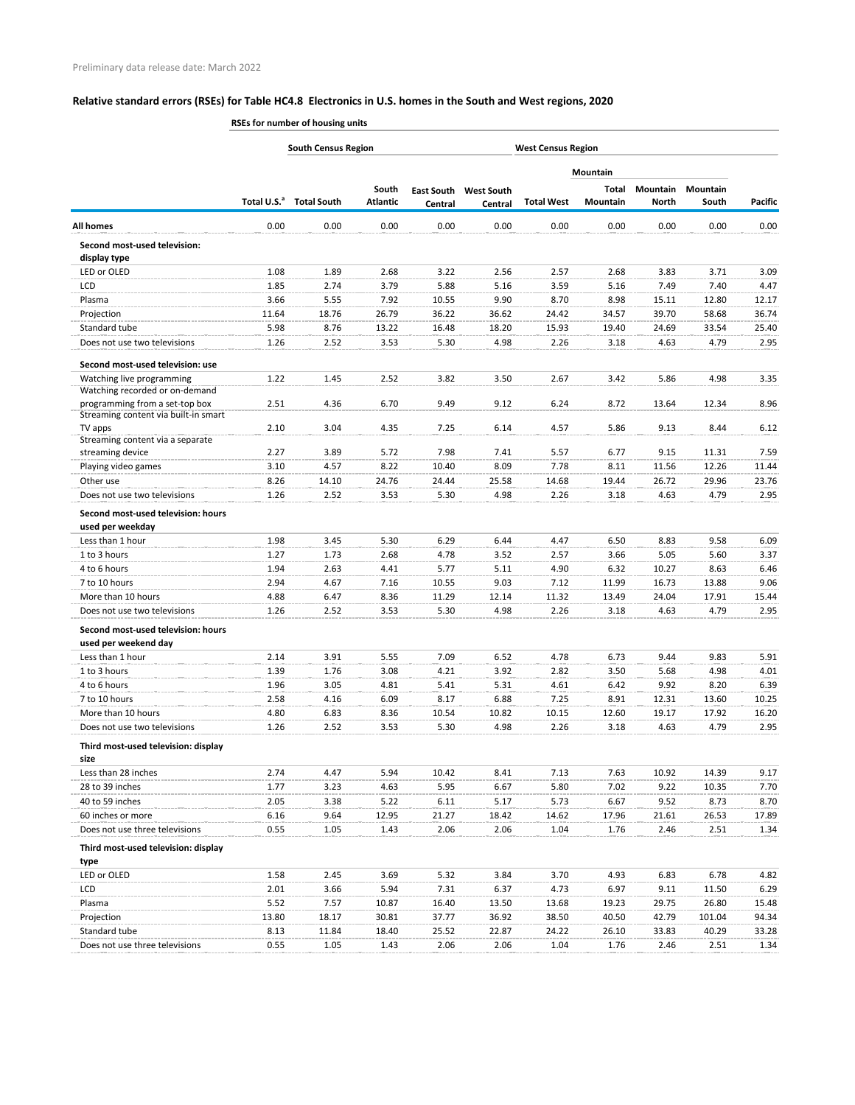**RSEs for number of housing units**

|                                                                        |               | <b>South Census Region</b><br><b>West Census Region</b> |                          |                |                                         |                   |                          |                                 |                          |                |
|------------------------------------------------------------------------|---------------|---------------------------------------------------------|--------------------------|----------------|-----------------------------------------|-------------------|--------------------------|---------------------------------|--------------------------|----------------|
|                                                                        |               |                                                         |                          |                |                                         |                   | <b>Mountain</b>          |                                 |                          |                |
|                                                                        |               | Total U.S. <sup>a</sup> Total South                     | South<br><b>Atlantic</b> | <b>Central</b> | <b>East South West South</b><br>Central | <b>Total West</b> | Total<br><b>Mountain</b> | <b>Mountain</b><br><b>North</b> | <b>Mountain</b><br>South | <b>Pacific</b> |
| <b>All homes</b>                                                       | 0.00          | 0.00                                                    | 0.00                     | 0.00           | 0.00                                    | 0.00              | 0.00                     | 0.00                            | 0.00                     | 0.00           |
| Second most-used television:<br>display type                           |               |                                                         |                          |                |                                         |                   |                          |                                 |                          |                |
| LED or OLED                                                            | 1.08          | 1.89                                                    | 2.68                     | 3.22           | 2.56                                    | 2.57              | 2.68                     | 3.83                            | 3.71                     | 3.09           |
| LCD.                                                                   | 1.85          | 2.74                                                    | 3.79                     | 5.88           | 5.16                                    | 3.59              | 5.16                     | 7.49                            | 7.40                     | 4.47           |
| Plasma                                                                 | 3.66          | 5.55                                                    | 7.92                     | 10.55          | 9.90                                    | 8.70              | 8.98                     | 15.11                           | 12.80                    | 12.17          |
| Projection                                                             | 11.64         | 18.76                                                   | 26.79                    | 36.22          | 36.62                                   | 24.42             | 34.57                    | 39.70                           | 58.68                    | 36.74          |
| Standard tube                                                          | 5.98          | 8.76                                                    | 13.22                    | 16.48          | 18.20                                   | 15.93             | 19.40                    | 24.69                           | 33.54                    | 25.40          |
| Does not use two televisions                                           | 1.26          | 2.52                                                    | 3.53                     | 5.30           | 4.98                                    | 2.26              | 3.18                     | 4.63                            | 4.79                     | 2.95           |
| Second most-used television: use                                       |               |                                                         |                          |                |                                         |                   |                          |                                 |                          |                |
| Watching live programming<br>Watching recorded or on-demand            | 1.22          | 1.45                                                    | 2.52                     | 3.82           | 3.50                                    | 2.67              | 3.42                     | 5.86                            | 4.98                     | 3.35           |
| programming from a set-top box<br>Streaming content via built-in smart | 2.51          | 4.36                                                    | 6.70                     | 9.49           | 9.12                                    | 6.24              | 8.72                     | 13.64                           | 12.34                    | 8.96           |
| TV apps<br>Streaming content via a separate                            | 2.10          | 3.04                                                    | 4.35                     | 7.25           | 6.14                                    | 4.57              | 5.86                     | 9.13                            | 8.44                     | 6.12           |
| streaming device                                                       | 2.27          | 3.89                                                    | 5.72                     | 7.98           | 7.41                                    | 5.57              | 6.77                     | 9.15                            | 11.31                    | 7.59           |
| Playing video games                                                    | 3.10          | 4.57                                                    | 8.22                     | 10.40          | 8.09                                    | 7.78              | 8.11                     | 11.56                           | 12.26                    | 11.44          |
| Other use                                                              | 8.26          | 14.10                                                   | 24.76                    | 24.44          | 25.58                                   | 14.68             | 19.44                    | 26.72                           | 29.96                    | 23.76          |
| Does not use two televisions                                           | 1.26          | 2.52                                                    | 3.53                     | 5.30           | 4.98                                    | 2.26              | 3.18                     | 4.63                            | 4.79                     | 2.95           |
| Second most-used television: hours<br>used per weekday                 |               |                                                         |                          |                |                                         |                   |                          |                                 |                          |                |
| Less than 1 hour                                                       | 1.98          | 3.45                                                    | 5.30                     | 6.29           | 6.44                                    | 4.47              | 6.50                     | 8.83                            | 9.58                     | 6.09           |
| 1 to 3 hours                                                           | 1.27          | 1.73                                                    | 2.68                     | 4.78           | 3.52                                    | 2.57              | 3.66                     | 5.05                            | 5.60                     | 3.37           |
| 4 to 6 hours                                                           | 1.94          | 2.63                                                    | 4.41                     | 5.77           | 5.11                                    | 4.90              | 6.32                     | 10.27                           | 8.63                     | 6.46           |
| 7 to 10 hours                                                          | 2.94          | 4.67                                                    | 7.16                     | 10.55          | 9.03                                    | 7.12              | 11.99                    | 16.73                           | 13.88                    | 9.06           |
| More than 10 hours                                                     | 4.88          | 6.47                                                    | 8.36                     | 11.29          | 12.14                                   | 11.32             | 13.49                    | 24.04                           | 17.91                    | 15.44          |
| Does not use two televisions                                           | 1.26          | 2.52                                                    | 3.53                     | 5.30           | 4.98                                    | 2.26              | 3.18                     | 4.63                            | 4.79                     | 2.95           |
| Second most-used television: hours<br>used per weekend day             |               |                                                         |                          |                |                                         |                   |                          |                                 |                          |                |
| Less than 1 hour                                                       | 2.14          | 3.91                                                    | 5.55                     | 7.09           | 6.52                                    | 4.78              | 6.73                     | 9.44                            | 9.83                     | 5.91           |
| 1 to 3 hours                                                           | 1.39          | 1.76                                                    | 3.08                     | 4.21           | 3.92                                    | 2.82              | 3.50                     | 5.68                            | 4.98                     | 4.01           |
| 4 to 6 hours                                                           | 1.96          | 3.05                                                    | 4.81                     | 5.41           | 5.31                                    | 4.61              | 6.42                     | 9.92                            | 8.20                     | 6.39           |
| 7 to 10 hours                                                          | 2.58          | 4.16                                                    | 6.09                     | 8.17           | 6.88                                    | 7.25              | 8.91                     | 12.31                           | 13.60                    | 10.25          |
| More than 10 hours                                                     | 4.80          | 6.83                                                    | 8.36                     | 10.54          | 10.82                                   | 10.15             | 12.60                    | 19.17                           | 17.92                    | 16.20          |
| Does not use two televisions                                           | 1.26          | 2.52                                                    | 3.53                     | 5.30           | 4.98                                    | 2.26              | 3.18                     | 4.63                            | 4.79                     | 2.95           |
| Third most-used television: display<br>size                            |               |                                                         |                          |                |                                         |                   |                          |                                 |                          |                |
| Less than 28 inches                                                    | 2.74          | 4.47                                                    | 5.94                     | 10.42          | 8.41                                    | 7.13              | 7.63                     | 10.92                           | 14.39                    | 9.17           |
| 28 to 39 inches                                                        | 1.77          | 3.23                                                    | 4.63                     | 5.95           | 6.67                                    | 5.80              | 7.02                     | 9.22                            | 10.35                    | 7.70           |
| 40 to 59 inches                                                        | 2.05          | 3.38                                                    | 5.22                     | 6.11           | 5.17                                    | 5.73              | 6.67                     | 9.52                            | 8.73                     | 8.70           |
| 60 inches or more                                                      | 6.16          | 9.64                                                    | 12.95                    | 21.27          | 18.42                                   | 14.62             | 17.96                    | 21.61                           | 26.53                    | 17.89          |
| Does not use three televisions                                         | 0.55          | 1.05                                                    | 1.43                     | 2.06           | 2.06                                    | 1.04              | 1.76                     | 2.46                            | 2.51                     | 1.34           |
| Third most-used television: display                                    |               |                                                         |                          |                |                                         |                   |                          |                                 |                          |                |
| type                                                                   |               |                                                         |                          |                |                                         |                   |                          |                                 |                          |                |
| LED or OLED                                                            | 1.58          | 2.45                                                    | 3.69                     | 5.32           | 3.84                                    | 3.70              | 4.93                     | 6.83                            | 6.78                     | 4.82           |
| <b>LCD</b>                                                             | 2.01          | 3.66                                                    | 5.94                     | 7.31           | 6.37                                    | 4.73              | 6.97                     | 9.11                            | 11.50                    | 6.29           |
| Plasma                                                                 | 5.52<br>13.80 | 7.57<br>18.17                                           | 10.87<br>30.81           | 16.40<br>37.77 | 13.50<br>36.92                          | 13.68<br>38.50    | 19.23<br>40.50           | 29.75<br>42.79                  | 26.80<br>101.04          | 15.48<br>94.34 |
| Projection<br>Standard tube                                            | 8.13          | 11.84                                                   | 18.40                    | 25.52          | 22.87                                   | 24.22             | 26.10                    | 33.83                           | 40.29                    | 33.28          |
| Does not use three televisions                                         | 0.55          | 1.05                                                    | 1.43                     | 2.06           | 2.06                                    | 1.04              | 1.76                     | 2.46                            | 2.51                     | 1.34           |
|                                                                        |               |                                                         |                          |                |                                         |                   |                          |                                 |                          |                |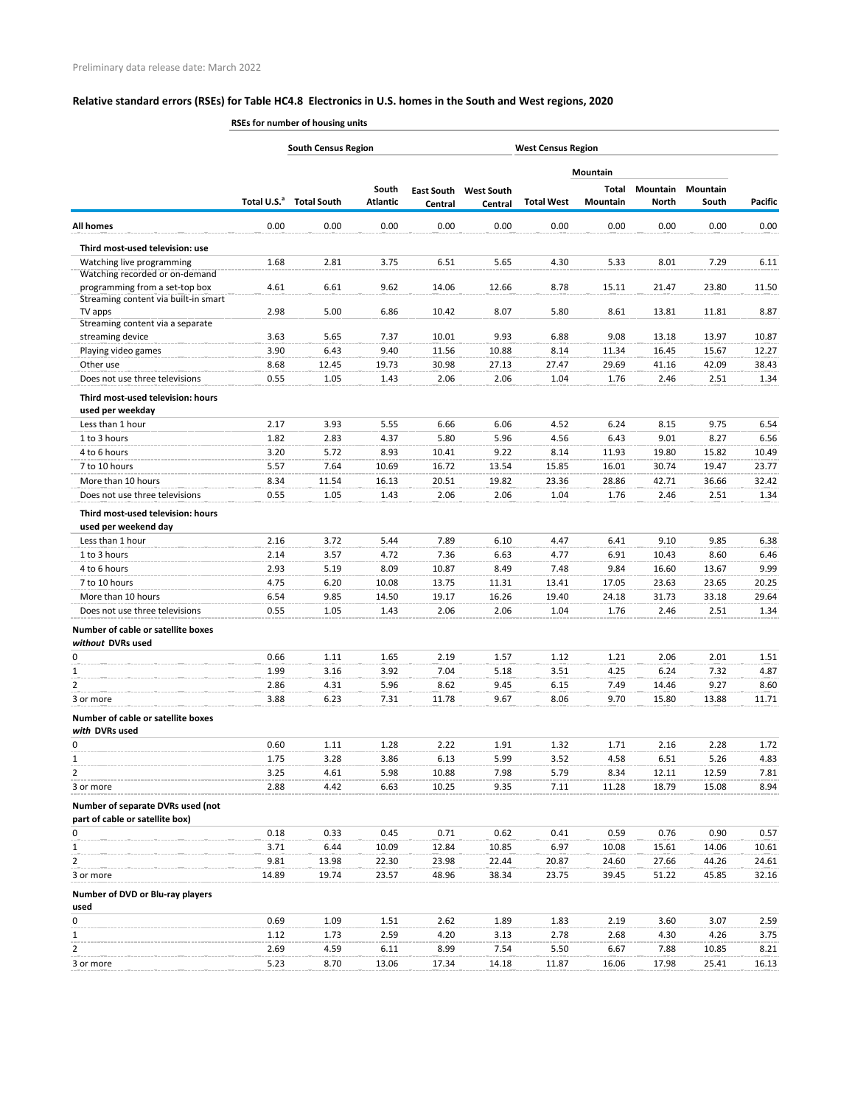**RSEs for number of housing units**

|                                                                      |                         | <b>South Census Region</b> |                          |         |                                         | <b>West Census Region</b> |                   |                          |                          |                |
|----------------------------------------------------------------------|-------------------------|----------------------------|--------------------------|---------|-----------------------------------------|---------------------------|-------------------|--------------------------|--------------------------|----------------|
|                                                                      |                         |                            |                          |         |                                         |                           | <b>Mountain</b>   |                          |                          |                |
|                                                                      | Total U.S. <sup>a</sup> | <b>Total South</b>         | South<br><b>Atlantic</b> | Central | <b>East South West South</b><br>Central | <b>Total West</b>         | Total<br>Mountain | Mountain<br><b>North</b> | <b>Mountain</b><br>South | <b>Pacific</b> |
| <b>All homes</b>                                                     | 0.00                    | 0.00                       | 0.00                     | 0.00    | 0.00                                    | 0.00                      | 0.00              | 0.00                     | 0.00                     | 0.00           |
| Third most-used television: use                                      |                         |                            |                          |         |                                         |                           |                   |                          |                          |                |
| Watching live programming                                            | 1.68                    | 2.81                       | 3.75                     | 6.51    | 5.65                                    | 4.30                      | 5.33              | 8.01                     | 7.29                     | 6.11           |
| Watching recorded or on-demand                                       |                         |                            |                          |         |                                         |                           |                   |                          |                          |                |
| programming from a set-top box                                       | 4.61                    | 6.61                       | 9.62                     | 14.06   | 12.66                                   | 8.78                      | 15.11             | 21.47                    | 23.80                    | 11.50          |
| Streaming content via built-in smart<br>TV apps                      | 2.98                    | 5.00                       | 6.86                     | 10.42   | 8.07                                    | 5.80                      | 8.61              | 13.81                    | 11.81                    | 8.87           |
| Streaming content via a separate                                     |                         |                            |                          |         |                                         |                           |                   |                          |                          |                |
| streaming device                                                     | 3.63                    | 5.65                       | 7.37                     | 10.01   | 9.93                                    | 6.88                      | 9.08              | 13.18                    | 13.97                    | 10.87          |
| Playing video games                                                  | 3.90                    | 6.43                       | 9.40                     | 11.56   | 10.88                                   | 8.14                      | 11.34             | 16.45                    | 15.67                    | 12.27          |
| Other use                                                            | 8.68                    | 12.45                      | 19.73                    | 30.98   | 27.13                                   | 27.47                     | 29.69             | 41.16                    | 42.09                    | 38.43          |
| Does not use three televisions                                       | 0.55                    | 1.05                       | 1.43                     | 2.06    | 2.06                                    | 1.04                      | 1.76              | 2.46                     | 2.51                     | 1.34           |
| Third most-used television: hours<br>used per weekday                |                         |                            |                          |         |                                         |                           |                   |                          |                          |                |
| Less than 1 hour                                                     | 2.17                    | 3.93                       | 5.55                     | 6.66    | 6.06                                    | 4.52                      | 6.24              | 8.15                     | 9.75                     | 6.54           |
| 1 to 3 hours                                                         | 1.82                    | 2.83                       | 4.37                     | 5.80    | 5.96                                    | 4.56                      | 6.43              | 9.01                     | 8.27                     | 6.56           |
| 4 to 6 hours                                                         | 3.20                    | 5.72                       | 8.93                     | 10.41   | 9.22                                    | 8.14                      | 11.93             | 19.80                    | 15.82                    | 10.49          |
| 7 to 10 hours                                                        | 5.57                    | 7.64                       | 10.69                    | 16.72   | 13.54                                   | 15.85                     | 16.01             | 30.74                    | 19.47                    | 23.77          |
| More than 10 hours                                                   | 8.34                    | 11.54                      | 16.13                    | 20.51   | 19.82                                   | 23.36                     | 28.86             | 42.71                    | 36.66                    | 32.42          |
| Does not use three televisions                                       | 0.55                    | 1.05                       | 1.43                     | 2.06    | 2.06                                    | 1.04                      | 1.76              | 2.46                     | 2.51                     | 1.34           |
| Third most-used television: hours<br>used per weekend day            |                         |                            |                          |         |                                         |                           |                   |                          |                          |                |
| Less than 1 hour                                                     | 2.16                    | 3.72                       | 5.44                     | 7.89    | 6.10                                    | 4.47                      | 6.41              | 9.10                     | 9.85                     | 6.38           |
| 1 to 3 hours                                                         | 2.14                    | 3.57                       | 4.72                     | 7.36    | 6.63                                    | 4.77                      | 6.91              | 10.43                    | 8.60                     | 6.46           |
| 4 to 6 hours                                                         | 2.93                    | 5.19                       | 8.09                     | 10.87   | 8.49                                    | 7.48                      | 9.84              | 16.60                    | 13.67                    | 9.99           |
| 7 to 10 hours                                                        | 4.75                    | 6.20                       | 10.08                    | 13.75   | 11.31                                   | 13.41                     | 17.05             | 23.63                    | 23.65                    | 20.25          |
| More than 10 hours                                                   | 6.54                    | 9.85                       | 14.50                    | 19.17   | 16.26                                   | 19.40                     | 24.18             | 31.73                    | 33.18                    | 29.64          |
| Does not use three televisions                                       | 0.55                    | 1.05                       | 1.43                     | 2.06    | 2.06                                    | 1.04                      | 1.76              | 2.46                     | 2.51                     | 1.34           |
| Number of cable or satellite boxes<br>without DVRs used              |                         |                            |                          |         |                                         |                           |                   |                          |                          |                |
| 0                                                                    | 0.66                    | 1.11                       | 1.65                     | 2.19    | 1.57                                    | 1.12                      | 1.21              | 2.06                     | 2.01                     | 1.51           |
| 1                                                                    | 1.99                    | 3.16                       | 3.92                     | 7.04    | 5.18                                    | 3.51                      | 4.25              | 6.24                     | 7.32                     | 4.87           |
| 2                                                                    | 2.86                    | 4.31                       | 5.96                     | 8.62    | 9.45                                    | 6.15                      | 7.49              | 14.46                    | 9.27                     | 8.60           |
| 3 or more                                                            | 3.88                    | 6.23                       | 7.31                     | 11.78   | 9.67                                    | 8.06                      | 9.70              | 15.80                    | 13.88                    | 11.71          |
| Number of cable or satellite boxes<br>with DVRs used                 |                         |                            |                          |         |                                         |                           |                   |                          |                          |                |
| 0                                                                    | 0.60                    | 1.11                       | 1.28                     | 2.22    | 1.91                                    | 1.32                      | 1.71              | 2.16                     | 2.28                     | 1.72           |
| $\mathbf{1}$                                                         | 1.75                    | 3.28                       | 3.86                     | 6.13    | 5.99                                    | 3.52                      | 4.58              | 6.51                     | 5.26                     | 4.83           |
| 2                                                                    | 3.25                    | 4.61                       | 5.98                     | 10.88   | 7.98                                    | 5.79                      | 8.34              | 12.11                    | 12.59                    | 7.81           |
| 3 or more                                                            | 2.88                    | 4.42                       | 6.63                     | 10.25   | 9.35                                    | 7.11                      | 11.28             | 18.79                    | 15.08                    | 8.94           |
| Number of separate DVRs used (not<br>part of cable or satellite box) |                         |                            |                          |         |                                         |                           |                   |                          |                          |                |
| 0                                                                    | 0.18                    | 0.33                       | 0.45                     | 0.71    | 0.62                                    | 0.41                      | 0.59              | 0.76                     | 0.90                     | 0.57           |
|                                                                      | 3.71                    | 6.44                       | 10.09                    | 12.84   | 10.85                                   | 6.97                      | 10.08             | 15.61                    | 14.06                    | 10.61          |
| 2                                                                    | 9.81                    | 13.98                      | 22.30                    | 23.98   | 22.44                                   | 20.87                     | 24.60             | 27.66                    | 44.26                    | 24.61          |
| 3 or more                                                            | 14.89                   | 19.74                      | 23.57                    | 48.96   | 38.34                                   | 23.75                     | 39.45             | 51.22                    | 45.85                    | 32.16          |
| Number of DVD or Blu-ray players<br>used                             |                         |                            |                          |         |                                         |                           |                   |                          |                          |                |
| 0                                                                    | 0.69                    | 1.09                       | 1.51                     | 2.62    | 1.89                                    | 1.83                      | 2.19              | 3.60                     | 3.07                     | 2.59           |
| 1                                                                    | 1.12                    | 1.73                       | 2.59                     | 4.20    | 3.13                                    | 2.78                      | 2.68              | 4.30                     | 4.26                     | 3.75           |
|                                                                      | 2.69                    | 4.59                       | 6.11                     | 8.99    | 7.54                                    | 5.50                      | 6.67              | 7.88                     | 10.85                    | 8.21           |
| 3 or more                                                            | 5.23                    | 8.70                       | 13.06                    | 17.34   | 14.18                                   | 11.87                     | 16.06             | 17.98                    | 25.41                    | 16.13          |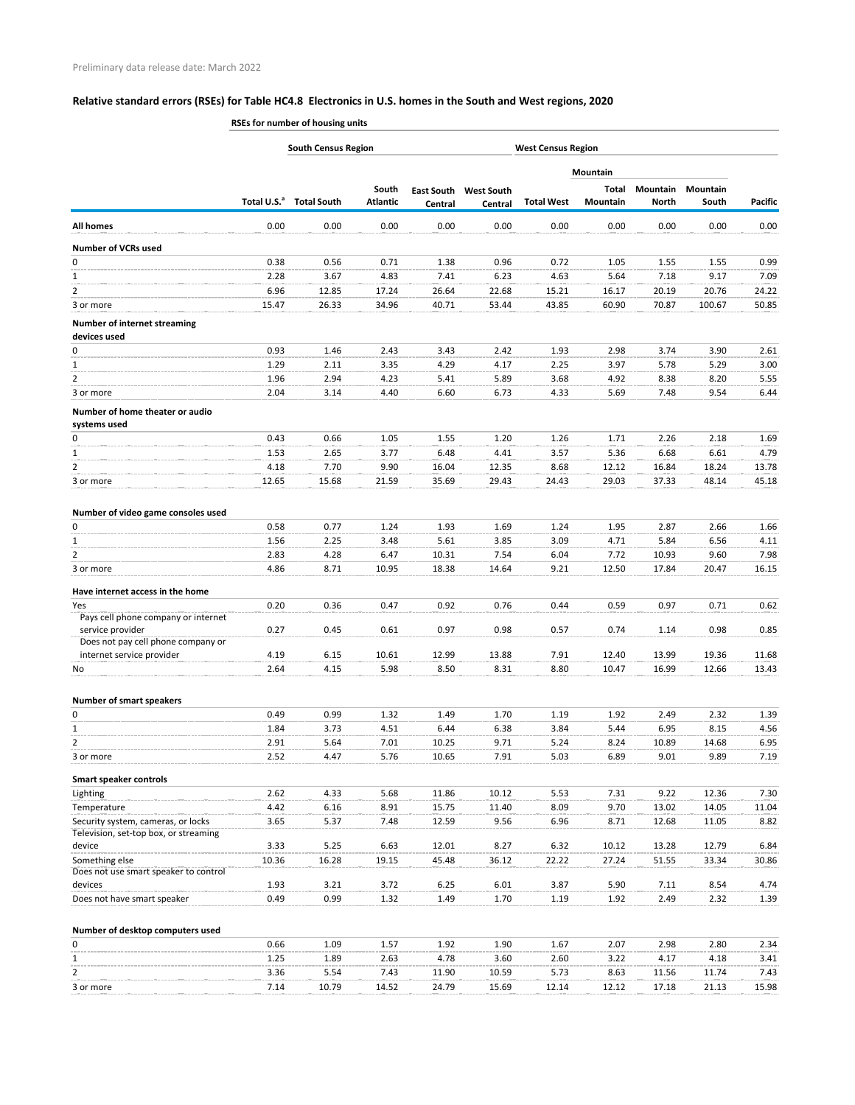|                                                                             | RSEs for number of housing units |                                     |                          |                |                                         |                           |                   |                                 |                   |                |  |  |
|-----------------------------------------------------------------------------|----------------------------------|-------------------------------------|--------------------------|----------------|-----------------------------------------|---------------------------|-------------------|---------------------------------|-------------------|----------------|--|--|
|                                                                             |                                  | <b>South Census Region</b>          |                          |                |                                         | <b>West Census Region</b> |                   |                                 |                   |                |  |  |
|                                                                             |                                  |                                     |                          |                |                                         |                           | Mountain          |                                 |                   |                |  |  |
|                                                                             |                                  | Total U.S. <sup>a</sup> Total South | South<br><b>Atlantic</b> | Central        | <b>East South West South</b><br>Central | <b>Total West</b>         | Total<br>Mountain | <b>Mountain</b><br><b>North</b> | Mountain<br>South | <b>Pacific</b> |  |  |
| <b>All homes</b>                                                            | 0.00                             | 0.00                                | 0.00                     | 0.00           | 0.00                                    | 0.00                      | 0.00              | 0.00                            | 0.00              | 0.00           |  |  |
| <b>Number of VCRs used</b>                                                  |                                  |                                     |                          |                |                                         |                           |                   |                                 |                   |                |  |  |
| 0                                                                           | 0.38                             | 0.56                                | 0.71                     | 1.38           | 0.96                                    | 0.72                      | 1.05              | 1.55                            | 1.55              | 0.99           |  |  |
| $\mathbf{1}$                                                                | 2.28                             | 3.67                                | 4.83                     | 7.41           | 6.23                                    | 4.63                      | 5.64              | 7.18                            | 9.17              | 7.09           |  |  |
| 2                                                                           | 6.96                             | 12.85                               | 17.24                    | 26.64          | 22.68                                   | 15.21                     | 16.17             | 20.19                           | 20.76             | 24.22          |  |  |
| 3 or more                                                                   | 15.47                            | 26.33                               | 34.96                    | 40.71          | 53.44                                   | 43.85                     | 60.90             | 70.87                           | 100.67            | 50.85          |  |  |
| <b>Number of internet streaming</b><br>devices used                         |                                  |                                     |                          |                |                                         |                           |                   |                                 |                   |                |  |  |
| 0                                                                           | 0.93                             | 1.46                                | 2.43                     | 3.43           | 2.42                                    | 1.93                      | 2.98              | 3.74                            | 3.90              | 2.61           |  |  |
| 1                                                                           | 1.29                             | 2.11                                | 3.35                     | 4.29           | 4.17                                    | 2.25                      | 3.97              | 5.78                            | 5.29              | 3.00           |  |  |
| 2                                                                           | 1.96                             | 2.94                                | 4.23                     | 5.41           | 5.89                                    | 3.68                      | 4.92              | 8.38                            | 8.20              | 5.55           |  |  |
| 3 or more                                                                   | 2.04                             | 3.14                                | 4.40                     | 6.60           | 6.73                                    | 4.33                      | 5.69              | 7.48                            | 9.54              | 6.44           |  |  |
| Number of home theater or audio<br>systems used                             |                                  |                                     |                          |                |                                         |                           |                   |                                 |                   |                |  |  |
| 0                                                                           | 0.43                             | 0.66                                | 1.05                     | 1.55           | 1.20                                    | 1.26                      | 1.71              | 2.26                            | 2.18              | 1.69           |  |  |
| 1                                                                           | 1.53                             | 2.65                                | 3.77                     | 6.48           | 4.41                                    | 3.57                      | 5.36              | 6.68                            | 6.61              | 4.79           |  |  |
| 2                                                                           | 4.18                             | 7.70                                | 9.90                     | 16.04          | 12.35                                   | 8.68                      | 12.12             | 16.84                           | 18.24             | 13.78          |  |  |
| 3 or more                                                                   | 12.65                            | 15.68                               | 21.59                    | 35.69          | 29.43                                   | 24.43                     | 29.03             | 37.33                           | 48.14             | 45.18          |  |  |
| Number of video game consoles used                                          |                                  |                                     |                          |                |                                         |                           |                   |                                 |                   |                |  |  |
| 0                                                                           | 0.58                             | 0.77                                | 1.24                     | 1.93           | 1.69                                    | 1.24                      | 1.95              | 2.87                            | 2.66              | 1.66           |  |  |
| 1                                                                           | 1.56                             | 2.25                                | 3.48                     | 5.61           | 3.85                                    | 3.09                      | 4.71              | 5.84                            | 6.56              | 4.11           |  |  |
| 2<br>3 or more                                                              | 2.83<br>4.86                     | 4.28<br>8.71                        | 6.47<br>10.95            | 10.31<br>18.38 | 7.54<br>14.64                           | 6.04<br>9.21              | 7.72<br>12.50     | 10.93<br>17.84                  | 9.60<br>20.47     | 7.98<br>16.15  |  |  |
|                                                                             |                                  |                                     |                          |                |                                         |                           |                   |                                 |                   |                |  |  |
| Have internet access in the home                                            |                                  |                                     |                          |                |                                         |                           |                   |                                 |                   |                |  |  |
| Yes<br>Pays cell phone company or internet                                  | 0.20                             | 0.36                                | 0.47                     | 0.92           | 0.76                                    | 0.44                      | 0.59              | 0.97                            | 0.71              | 0.62           |  |  |
| service provider<br>Does not pay cell phone company or                      | 0.27                             | 0.45                                | 0.61                     | 0.97           | 0.98                                    | 0.57                      | 0.74              | 1.14                            | 0.98              | 0.85           |  |  |
| internet service provider                                                   | 4.19                             | 6.15                                | 10.61                    | 12.99          | 13.88                                   | 7.91                      | 12.40             | 13.99                           | 19.36             | 11.68          |  |  |
| No                                                                          | 2.64                             | 4.15                                | 5.98                     | 8.50           | 8.31                                    | 8.80                      | 10.47             | 16.99                           | 12.66             | 13.43          |  |  |
| <b>Number of smart speakers</b>                                             |                                  |                                     |                          |                |                                         |                           |                   |                                 |                   |                |  |  |
| 0                                                                           | 0.49                             | 0.99                                | 1.32                     | 1.49           | 1.70                                    | 1.19                      | 1.92              | 2.49                            | 2.32              | 1.39           |  |  |
| $\mathbf{1}$                                                                | 1.84                             | 3.73                                | 4.51                     | 6.44           | 6.38                                    | 3.84                      | 5.44              | 6.95                            | 8.15              | 4.56           |  |  |
| 2                                                                           | 2.91                             | 5.64                                | 7.01                     | 10.25          | 9.71                                    | 5.24                      | 8.24              | 10.89                           | 14.68             | 6.95           |  |  |
| 3 or more                                                                   | 2.52                             | 4.47                                | 5.76                     | 10.65          | 7.91                                    | 5.03                      | 6.89              | 9.01                            | 9.89              | 7.19           |  |  |
| <b>Smart speaker controls</b>                                               |                                  |                                     |                          |                |                                         |                           |                   |                                 |                   |                |  |  |
| Lighting                                                                    | 2.62                             | 4.33                                | 5.68                     | 11.86          | 10.12                                   | 5.53                      | 7.31              | 9.22                            | 12.36             | 7.30           |  |  |
| Temperature                                                                 | 4.42                             | 6.16                                | 8.91                     | 15.75          | 11.40                                   | 8.09                      | 9.70              | 13.02                           | 14.05             | 11.04          |  |  |
| Security system, cameras, or locks<br>Television, set-top box, or streaming | 3.65                             | 5.37                                | 7.48                     | 12.59          | 9.56                                    | 6.96                      | 8.71              | 12.68                           | 11.05             | 8.82           |  |  |
| device                                                                      | 3.33                             | 5.25                                | 6.63                     | 12.01          | 8.27                                    | 6.32                      | 10.12             | 13.28                           | 12.79             | 6.84           |  |  |
| Something else                                                              | 10.36                            | 16.28                               | 19.15                    | 45.48          | 36.12                                   | 22.22                     | 27.24             | 51.55                           | 33.34             | 30.86          |  |  |
| Does not use smart speaker to control<br>devices                            | 1.93                             | 3.21                                | 3.72                     | 6.25           | 6.01                                    | 3.87                      | 5.90              | 7.11                            | 8.54              | 4.74           |  |  |
| Does not have smart speaker                                                 | 0.49                             | 0.99                                | 1.32                     | 1.49           | 1.70                                    | 1.19                      | 1.92              | 2.49                            | 2.32              | 1.39           |  |  |
|                                                                             |                                  |                                     |                          |                |                                         |                           |                   |                                 |                   |                |  |  |
| Number of desktop computers used                                            |                                  |                                     |                          |                |                                         |                           |                   |                                 |                   |                |  |  |
| 0                                                                           | 0.66<br>1.25                     | 1.09<br>1.89                        | 1.57<br>2.63             | 1.92<br>4.78   | 1.90<br>3.60                            | 1.67<br>2.60              | 2.07<br>3.22      | 2.98<br>4.17                    | 2.80<br>4.18      | 2.34<br>3.41   |  |  |

2 3.36 5.54 7.43 11.90 10.59 5.73 8.63 11.56 11.74 7.43 3 or more 7.14 10.79 14.52 24.79 15.69 12.14 12.12 17.18 21.13 15.98